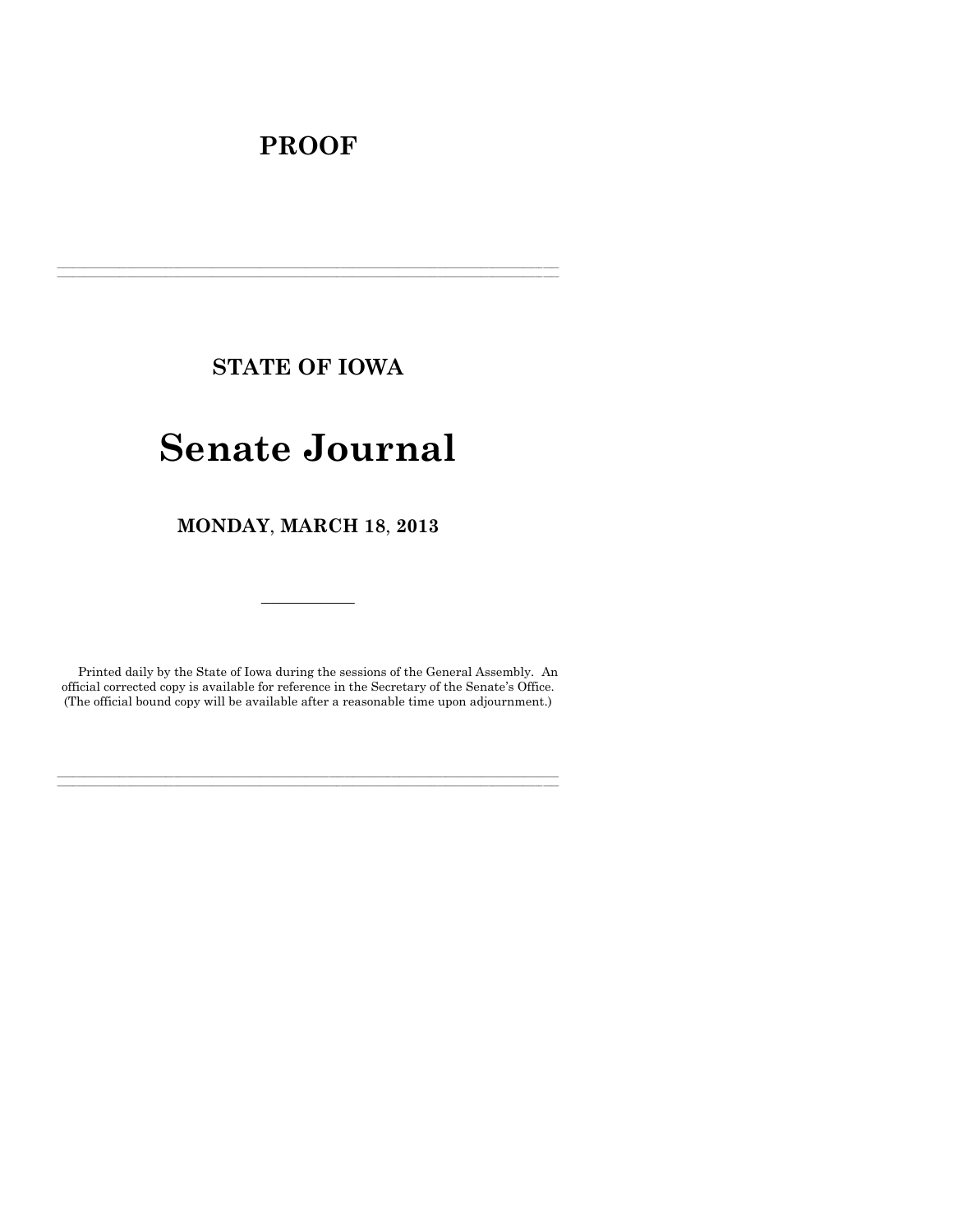# **PROOF**

**STATE OF IOWA**

**\_\_\_\_\_\_\_\_\_\_\_\_\_\_\_\_\_\_\_\_\_\_\_\_\_\_\_\_\_\_\_\_\_\_\_\_\_\_\_\_\_\_\_\_\_\_\_\_\_\_\_\_\_\_\_\_\_\_\_\_\_\_\_\_\_\_\_\_\_\_\_\_\_\_\_\_\_\_\_\_\_\_\_\_\_\_\_\_\_\_\_\_\_\_\_\_\_\_\_\_\_\_\_\_\_\_\_\_\_\_\_\_\_\_\_\_\_\_\_\_\_\_\_\_\_\_\_\_\_ \_\_\_\_\_\_\_\_\_\_\_\_\_\_\_\_\_\_\_\_\_\_\_\_\_\_\_\_\_\_\_\_\_\_\_\_\_\_\_\_\_\_\_\_\_\_\_\_\_\_\_\_\_\_\_\_\_\_\_\_\_\_\_\_\_\_\_\_\_\_\_\_\_\_\_\_\_\_\_\_\_\_\_\_\_\_\_\_\_\_\_\_\_\_\_\_\_\_\_\_\_\_\_\_\_\_\_\_\_\_\_\_\_\_\_\_\_\_\_\_\_\_\_\_\_\_\_\_\_**

# **Senate Journal**

**MONDAY**, **MARCH 18**, **2013**

Printed daily by the State of Iowa during the sessions of the General Assembly. An official corrected copy is available for reference in the Secretary of the Senate's Office. (The official bound copy will be available after a reasonable time upon adjournment.)

**\_\_\_\_\_\_\_\_\_\_\_\_\_\_\_\_\_\_\_\_\_\_\_\_\_\_\_\_\_\_\_\_\_\_\_\_\_\_\_\_\_\_\_\_\_\_\_\_\_\_\_\_\_\_\_\_\_\_\_\_\_\_\_\_\_\_\_\_\_\_\_\_\_\_\_\_\_\_\_\_\_\_\_\_\_\_\_\_\_\_\_\_\_\_\_\_\_\_\_\_\_\_\_\_\_\_\_\_\_\_\_\_\_\_\_\_\_\_\_\_\_\_\_\_\_\_\_\_\_ \_\_\_\_\_\_\_\_\_\_\_\_\_\_\_\_\_\_\_\_\_\_\_\_\_\_\_\_\_\_\_\_\_\_\_\_\_\_\_\_\_\_\_\_\_\_\_\_\_\_\_\_\_\_\_\_\_\_\_\_\_\_\_\_\_\_\_\_\_\_\_\_\_\_\_\_\_\_\_\_\_\_\_\_\_\_\_\_\_\_\_\_\_\_\_\_\_\_\_\_\_\_\_\_\_\_\_\_\_\_\_\_\_\_\_\_\_\_\_\_\_\_\_\_\_\_\_\_\_**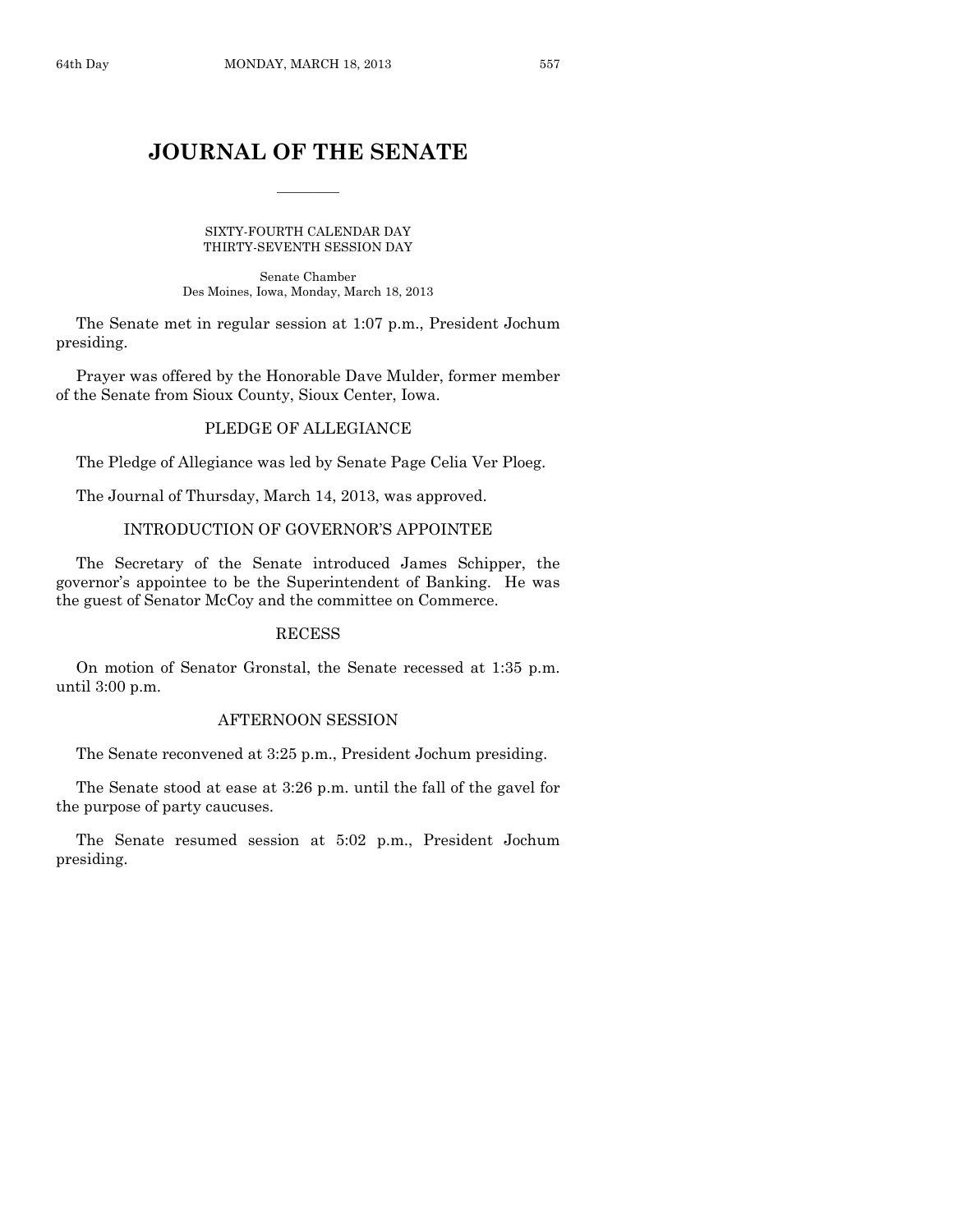# **JOURNAL OF THE SENATE**

 $\overline{\phantom{a}}$ 

SIXTY-FOURTH CALENDAR DAY THIRTY-SEVENTH SESSION DAY

Senate Chamber Des Moines, Iowa, Monday, March 18, 2013

The Senate met in regular session at 1:07 p.m., President Jochum presiding.

Prayer was offered by the Honorable Dave Mulder, former member of the Senate from Sioux County, Sioux Center, Iowa.

# PLEDGE OF ALLEGIANCE

The Pledge of Allegiance was led by Senate Page Celia Ver Ploeg.

The Journal of Thursday, March 14, 2013, was approved.

# INTRODUCTION OF GOVERNOR'S APPOINTEE

The Secretary of the Senate introduced James Schipper, the governor's appointee to be the Superintendent of Banking. He was the guest of Senator McCoy and the committee on Commerce.

# **RECESS**

On motion of Senator Gronstal, the Senate recessed at 1:35 p.m. until 3:00 p.m.

# AFTERNOON SESSION

The Senate reconvened at 3:25 p.m., President Jochum presiding.

The Senate stood at ease at 3:26 p.m. until the fall of the gavel for the purpose of party caucuses.

The Senate resumed session at 5:02 p.m., President Jochum presiding.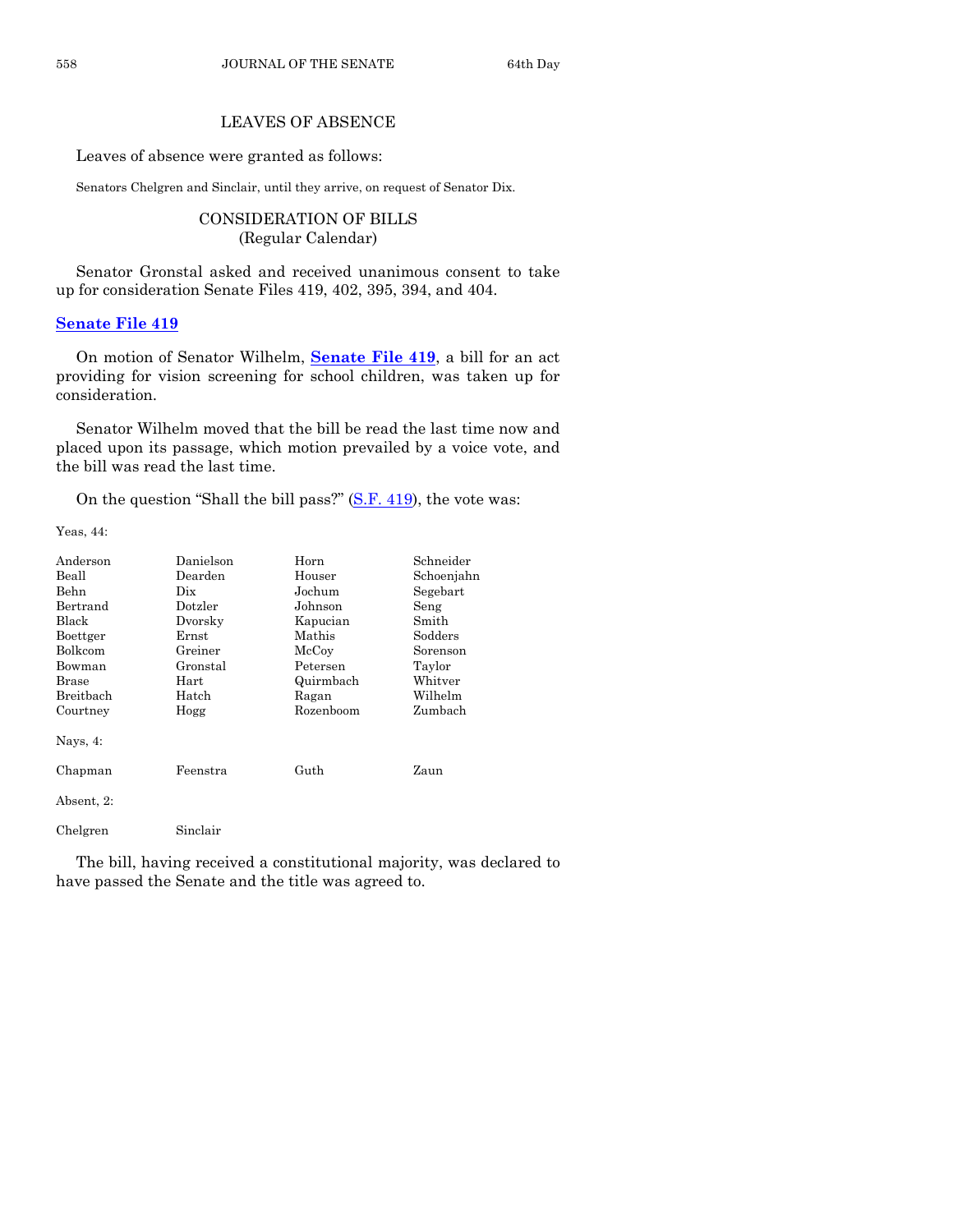# LEAVES OF ABSENCE

Leaves of absence were granted as follows:

Senators Chelgren and Sinclair, until they arrive, on request of Senator Dix.

CONSIDERATION OF BILLS (Regular Calendar)

Senator Gronstal asked and received unanimous consent to take up for consideration Senate Files 419, 402, 395, 394, and 404.

#### **[Senate File 419](http://coolice.legis.state.ia.us/Cool-ICE/default.asp?Category=billinfo&Service=Billbook&frame=1&GA=85&hbill=SF419)**

On motion of Senator Wilhelm, **[Senate File 419](http://coolice.legis.state.ia.us/Cool-ICE/default.asp?Category=billinfo&Service=Billbook&frame=1&GA=85&hbill=SF419)**, a bill for an act providing for vision screening for school children, was taken up for consideration.

Senator Wilhelm moved that the bill be read the last time now and placed upon its passage, which motion prevailed by a voice vote, and the bill was read the last time.

On the question "Shall the bill pass?"  $(S.F. 419)$ , the vote was:

Yeas, 44:

| Anderson     | Danielson   | Horn      | Schneider  |
|--------------|-------------|-----------|------------|
| Beall        | Dearden     | Houser    | Schoenjahn |
| Behn         | Dix         | Jochum    | Segebart   |
| Bertrand     | Dotzler     | Johnson   | Seng       |
| Black        | Dvorsky     | Kapucian  | Smith      |
| Boettger     | $\rm Ernst$ | Mathis    | Sodders    |
| Bolkcom      | Greiner     | McCoy     | Sorenson   |
| Bowman       | Gronstal    | Petersen  | Taylor     |
| <b>Brase</b> | $\rm Hart$  | Quirmbach | Whitver    |
| Breitbach    | Hatch       | Ragan     | Wilhelm    |
| Courtney     | Hogg        | Rozenboom | Zumbach    |
| Nays, 4:     |             |           |            |
| Chapman      | Feenstra    | Guth      | Zaun       |
| Absent, 2:   |             |           |            |
| Chelgren     | Sinclair    |           |            |

The bill, having received a constitutional majority, was declared to have passed the Senate and the title was agreed to.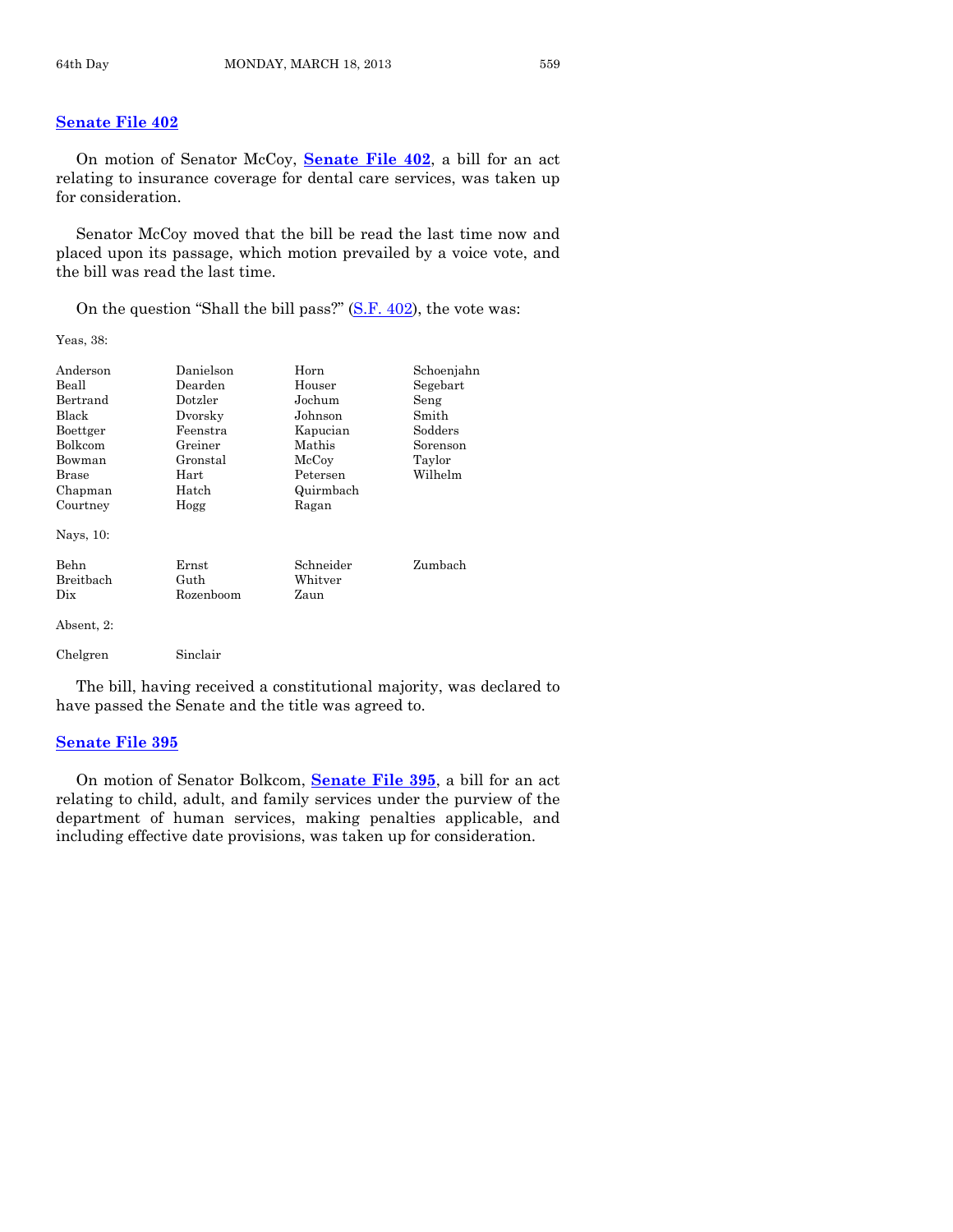# **[Senate File 402](http://coolice.legis.state.ia.us/Cool-ICE/default.asp?Category=billinfo&Service=Billbook&frame=1&GA=85&hbill=SF402)**

On motion of Senator McCoy, **[Senate File 402](http://coolice.legis.state.ia.us/Cool-ICE/default.asp?Category=billinfo&Service=Billbook&frame=1&GA=85&hbill=SF402)**, a bill for an act relating to insurance coverage for dental care services, was taken up for consideration.

Senator McCoy moved that the bill be read the last time now and placed upon its passage, which motion prevailed by a voice vote, and the bill was read the last time.

On the question "Shall the bill pass?" [\(S.F. 402\)](http://coolice.legis.state.ia.us/Cool-ICE/default.asp?Category=billinfo&Service=Billbook&frame=1&GA=85&hbill=SF402), the vote was:

Yeas, 38:

| Anderson<br>Beall<br>Bertrand<br>Black<br>Boettger<br>Bolkcom<br>Bowman<br>Brase<br>Chapman<br>Courtney | Danielson<br>Dearden<br>Dotzler<br>Dvorsky<br>Feenstra<br>Greiner<br>Gronstal<br>Hart<br>Hatch<br>Hogg | Horn<br>Houser<br>Jochum<br>Johnson<br>Kapucian<br>Mathis<br>McCoy<br>Petersen<br>Quirmbach<br>Ragan | Schoenjahn<br>Segebart<br>Seng<br>Smith<br>Sodders<br>Sorenson<br>Taylor<br>Wilhelm |
|---------------------------------------------------------------------------------------------------------|--------------------------------------------------------------------------------------------------------|------------------------------------------------------------------------------------------------------|-------------------------------------------------------------------------------------|
| Nays, 10:<br>Behn<br>Breitbach<br>Dix                                                                   | $_{\rm Ernst}$<br>Guth<br>Rozenboom                                                                    | Schneider<br>Whitver<br>Zaun                                                                         | Zumbach                                                                             |
| Absent, 2:<br>Chelgren                                                                                  | Sinclair                                                                                               |                                                                                                      |                                                                                     |

The bill, having received a constitutional majority, was declared to have passed the Senate and the title was agreed to.

#### **[Senate File 395](http://coolice.legis.state.ia.us/Cool-ICE/default.asp?Category=billinfo&Service=Billbook&frame=1&GA=85&hbill=SF395)**

On motion of Senator Bolkcom, **[Senate File 395](http://coolice.legis.state.ia.us/Cool-ICE/default.asp?Category=billinfo&Service=Billbook&frame=1&GA=85&hbill=SF395)**, a bill for an act relating to child, adult, and family services under the purview of the department of human services, making penalties applicable, and including effective date provisions, was taken up for consideration.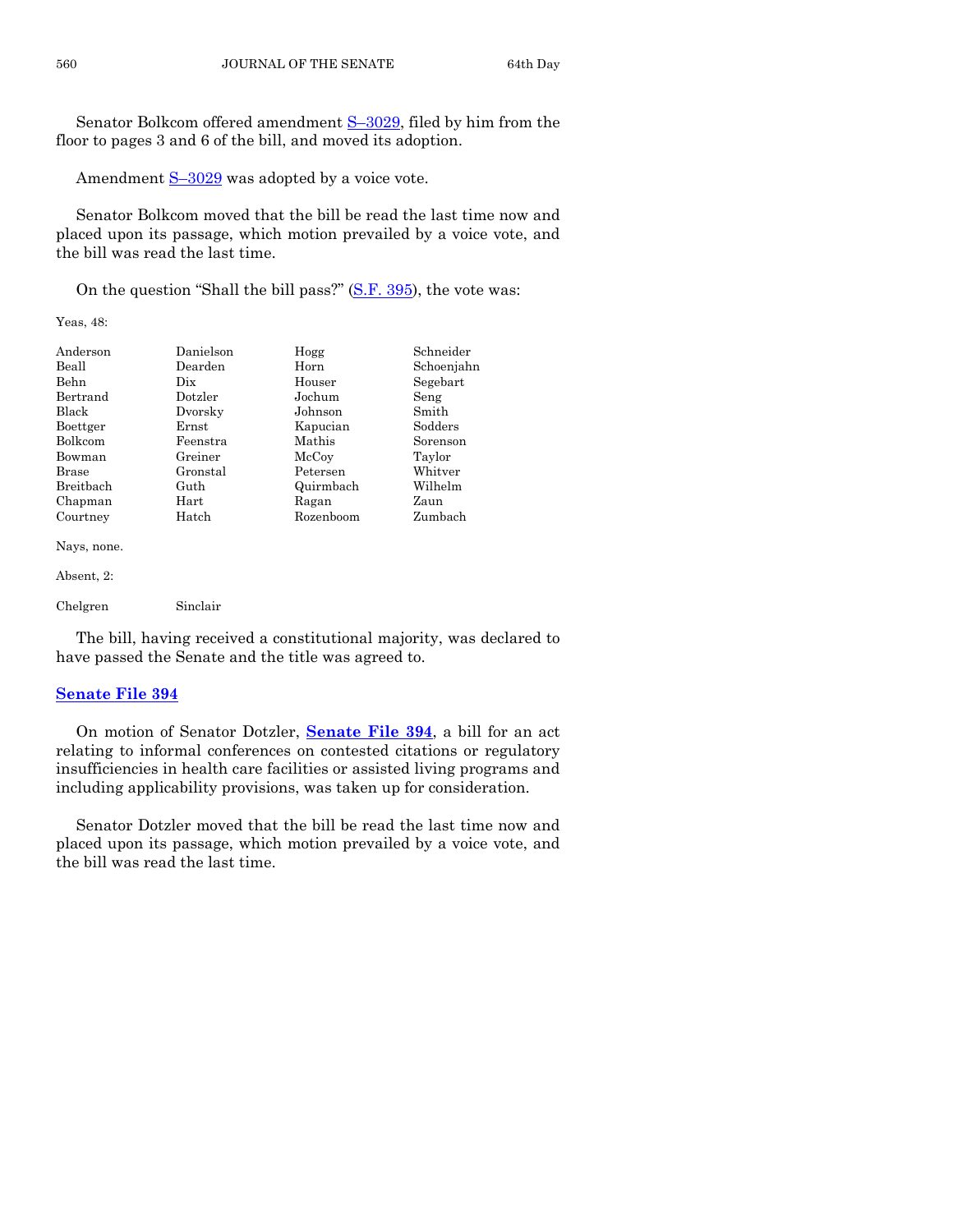Senator Bolkcom offered amendment S–[3029,](http://coolice.legis.state.ia.us/Cool-ICE/default.asp?Category=billinfo&Service=Billbook&frame=1&GA=85&hbill=S3029) filed by him from the floor to pages 3 and 6 of the bill, and moved its adoption.

Amendment  $S-3029$  $S-3029$  was adopted by a voice vote.

Senator Bolkcom moved that the bill be read the last time now and placed upon its passage, which motion prevailed by a voice vote, and the bill was read the last time.

On the question "Shall the bill pass?" [\(S.F. 395\)](http://coolice.legis.state.ia.us/Cool-ICE/default.asp?Category=billinfo&Service=Billbook&frame=1&GA=85&hbill=SF395), the vote was:

Yeas, 48:

| Anderson     | Danielson | Hogg      | Schneider  |
|--------------|-----------|-----------|------------|
| Beall        | Dearden   | Horn      | Schoenjahn |
| Behn         | Dix.      | Houser    | Segebart   |
| Bertrand     | Dotzler   | Jochum    | Seng       |
| <b>Black</b> | Dvorsky   | Johnson   | Smith      |
| Boettger     | Ernst     | Kapucian  | Sodders    |
| Bolkcom      | Feenstra  | Mathis    | Sorenson   |
| Bowman       | Greiner   | McCoy     | Taylor     |
| Brase        | Gronstal  | Petersen  | Whitver    |
| Breitbach    | Guth      | Quirmbach | Wilhelm    |
| Chapman      | Hart      | Ragan     | Zaun       |
| Courtney     | Hatch     | Rozenboom | Zumbach    |
| Nays, none.  |           |           |            |

Absent, 2:

| Chelgren | Sinclair |
|----------|----------|

The bill, having received a constitutional majority, was declared to have passed the Senate and the title was agreed to.

#### **[Senate File 394](http://coolice.legis.state.ia.us/Cool-ICE/default.asp?Category=billinfo&Service=Billbook&frame=1&GA=85&hbill=SF394)**

On motion of Senator Dotzler, **[Senate File 394](http://coolice.legis.state.ia.us/Cool-ICE/default.asp?Category=billinfo&Service=Billbook&frame=1&GA=85&hbill=SF394)**, a bill for an act relating to informal conferences on contested citations or regulatory insufficiencies in health care facilities or assisted living programs and including applicability provisions, was taken up for consideration.

Senator Dotzler moved that the bill be read the last time now and placed upon its passage, which motion prevailed by a voice vote, and the bill was read the last time.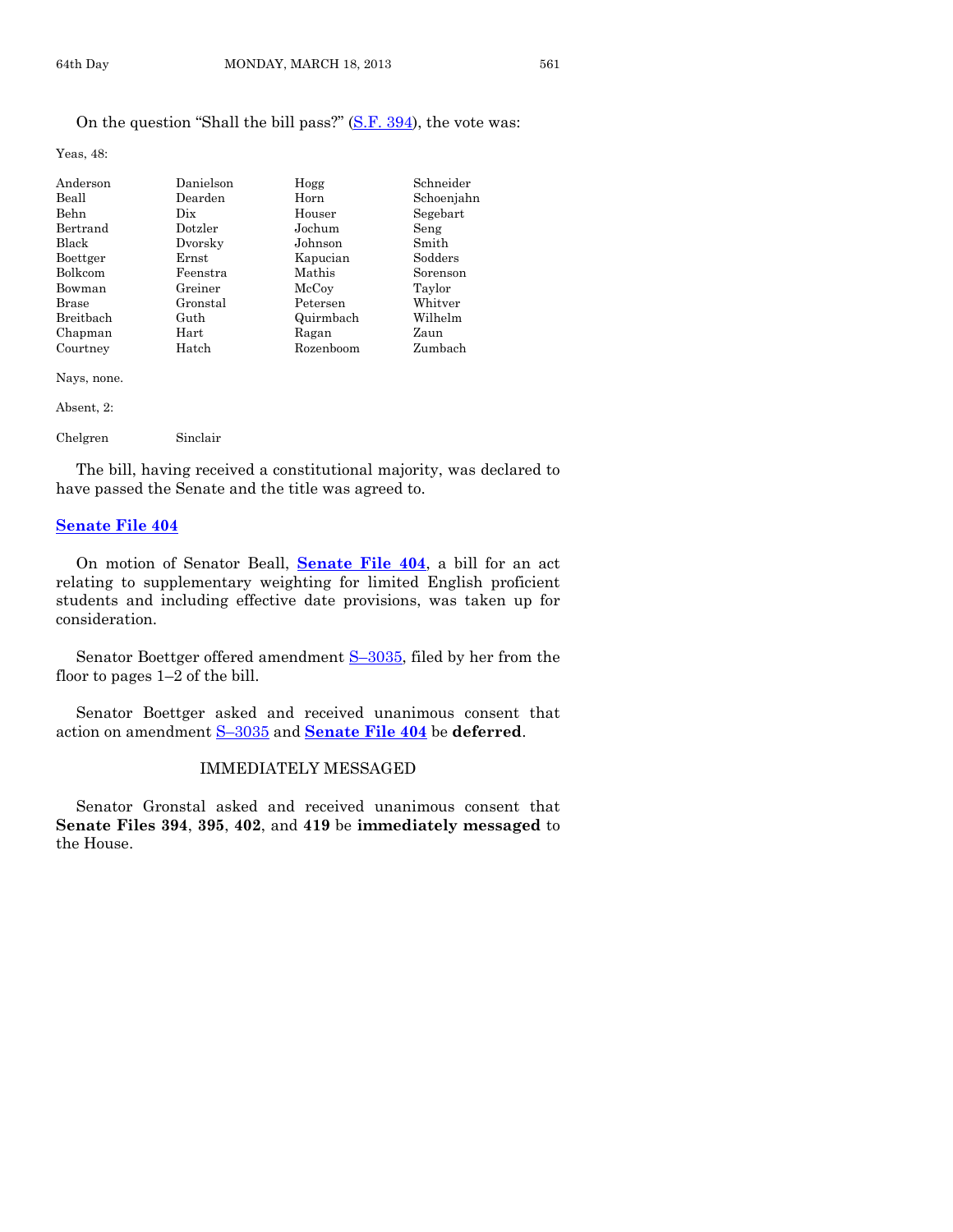Yeas, 48:

| Anderson  | Danielson   | Hogg      | Schneider  |
|-----------|-------------|-----------|------------|
| Beall     | Dearden     | Horn      | Schoenjahn |
| Behn      | Dix         | Houser    | Segebart   |
| Bertrand  | Dotzler     | Jochum    | Seng       |
| Black     | Dvorsky     | Johnson   | Smith      |
| Boettger  | $\rm Ernst$ | Kapucian  | Sodders    |
| Bolkcom   | Feenstra    | Mathis    | Sorenson   |
| Bowman    | Greiner     | McCoy     | Taylor     |
| Brase     | Gronstal    | Petersen  | Whitver    |
| Breitbach | Guth        | Quirmbach | Wilhelm    |
| Chapman   | Hart        | Ragan     | Zaun       |
| Courtney  | Hatch       | Rozenboom | Zumbach    |

Nays, none.

Absent, 2:

| Chelgren | Sinclair |
|----------|----------|
|          |          |

The bill, having received a constitutional majority, was declared to have passed the Senate and the title was agreed to.

#### **[Senate File 404](http://coolice.legis.state.ia.us/Cool-ICE/default.asp?Category=billinfo&Service=Billbook&frame=1&GA=85&hbill=SF404)**

On motion of Senator Beall, **[Senate File 404](http://coolice.legis.state.ia.us/Cool-ICE/default.asp?Category=billinfo&Service=Billbook&frame=1&GA=85&hbill=SF404)**, a bill for an act relating to supplementary weighting for limited English proficient students and including effective date provisions, was taken up for consideration.

Senator Boettger offered amendment S-[3035,](http://coolice.legis.state.ia.us/Cool-ICE/default.asp?Category=billinfo&Service=Billbook&frame=1&GA=85&hbill=S3035) filed by her from the floor to pages 1–2 of the bill.

Senator Boettger asked and received unanimous consent that action on amendment S–[3035](http://coolice.legis.state.ia.us/Cool-ICE/default.asp?Category=billinfo&Service=Billbook&frame=1&GA=85&hbill=S3035) and **[Senate File 404](http://coolice.legis.state.ia.us/Cool-ICE/default.asp?Category=billinfo&Service=Billbook&frame=1&GA=85&hbill=SF404)** be **deferred**.

# IMMEDIATELY MESSAGED

Senator Gronstal asked and received unanimous consent that **Senate Files 394**, **395**, **402**, and **419** be **immediately messaged** to the House.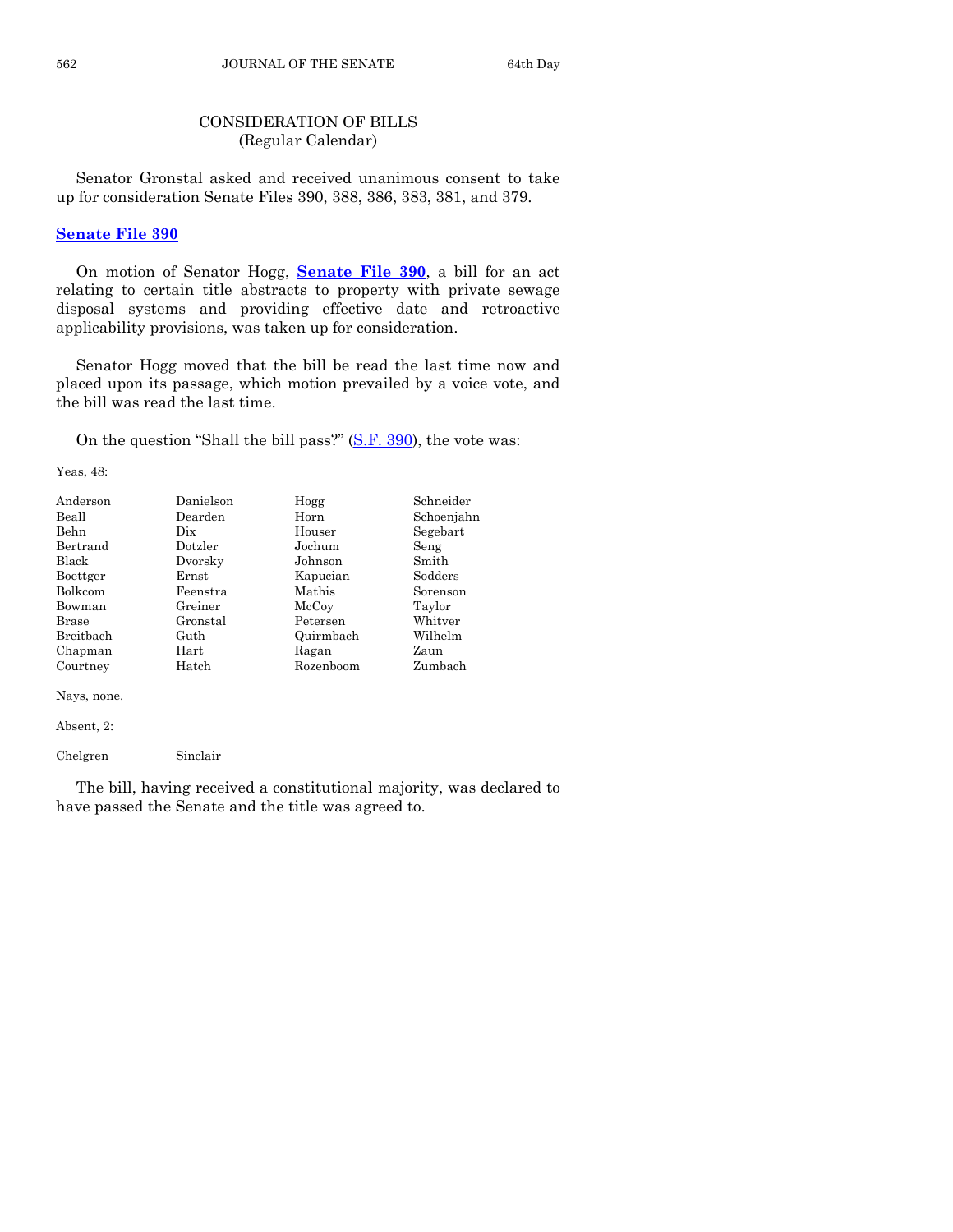# CONSIDERATION OF BILLS (Regular Calendar)

Senator Gronstal asked and received unanimous consent to take up for consideration Senate Files 390, 388, 386, 383, 381, and 379.

## **[Senate File 390](http://coolice.legis.state.ia.us/Cool-ICE/default.asp?Category=billinfo&Service=Billbook&frame=1&GA=85&hbill=SF390)**

On motion of Senator Hogg, **[Senate File 390](http://coolice.legis.state.ia.us/Cool-ICE/default.asp?Category=billinfo&Service=Billbook&frame=1&GA=85&hbill=SF390)**, a bill for an act relating to certain title abstracts to property with private sewage disposal systems and providing effective date and retroactive applicability provisions, was taken up for consideration.

Senator Hogg moved that the bill be read the last time now and placed upon its passage, which motion prevailed by a voice vote, and the bill was read the last time.

On the question "Shall the bill pass?" [\(S.F. 390\)](http://coolice.legis.state.ia.us/Cool-ICE/default.asp?Category=billinfo&Service=Billbook&frame=1&GA=85&hbill=SF390), the vote was:

Yeas, 48:

| Anderson    | Danielson | Hogg      | Schneider  |
|-------------|-----------|-----------|------------|
| Beall       | Dearden   | Horn      | Schoenjahn |
| <b>Behn</b> | Dix       | Houser    | Segebart   |
| Bertrand    | Dotzler   | Jochum    | Seng       |
| Black       | Dvorsky   | Johnson   | Smith      |
| Boettger    | Ernst     | Kapucian  | Sodders    |
| Bolkcom     | Feenstra  | Mathis    | Sorenson   |
| Bowman      | Greiner   | McCoy     | Taylor     |
| Brase       | Gronstal  | Petersen  | Whitver    |
| Breitbach   | Guth      | Quirmbach | Wilhelm    |
| Chapman     | Hart      | Ragan     | Zaun       |
| Courtney    | Hatch     | Rozenboom | Zumbach    |

Nays, none.

Absent, 2:

Chelgren Sinclair

The bill, having received a constitutional majority, was declared to have passed the Senate and the title was agreed to.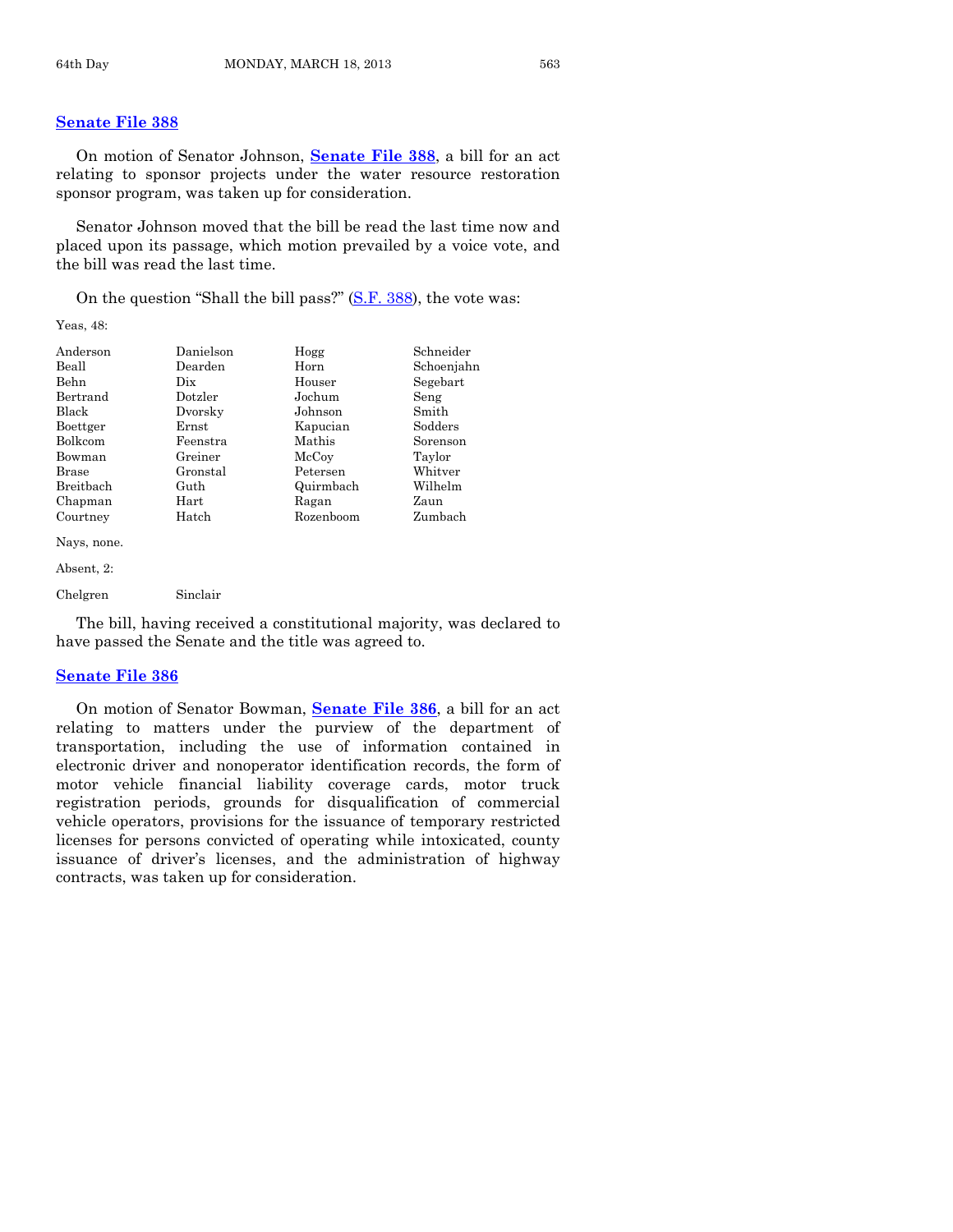# **[Senate File 388](http://coolice.legis.state.ia.us/Cool-ICE/default.asp?Category=billinfo&Service=Billbook&frame=1&GA=85&hbill=SF388)**

On motion of Senator Johnson, **[Senate File 388](http://coolice.legis.state.ia.us/Cool-ICE/default.asp?Category=billinfo&Service=Billbook&frame=1&GA=85&hbill=SF388)**, a bill for an act relating to sponsor projects under the water resource restoration sponsor program, was taken up for consideration.

Senator Johnson moved that the bill be read the last time now and placed upon its passage, which motion prevailed by a voice vote, and the bill was read the last time.

On the question "Shall the bill pass?" [\(S.F. 388\)](http://coolice.legis.state.ia.us/Cool-ICE/default.asp?Category=billinfo&Service=Billbook&frame=1&GA=85&hbill=SF388), the vote was:

Yeas, 48:

| Anderson    | Danielson  | Hogg      | Schneider  |
|-------------|------------|-----------|------------|
| Beall       | Dearden    | Horn      | Schoenjahn |
| <b>Behn</b> | Dix.       | Houser    | Segebart   |
| Bertrand    | Dotzler    | Jochum    | Seng       |
| Black       | Dvorsky    | Johnson   | Smith      |
| Boettger    | Ernst      | Kapucian  | Sodders    |
| Bolkcom     | Feenstra   | Mathis    | Sorenson   |
| Bowman      | Greiner    | McCoy     | Taylor     |
| Brase       | Gronstal   | Petersen  | Whitver    |
| Breitbach   | Guth       | Quirmbach | Wilhelm    |
| Chapman     | $\rm Hart$ | Ragan     | Zaun       |
| Courtney    | Hatch      | Rozenboom | Zumbach    |
| Nays, none. |            |           |            |

Absent, 2:

Chelgren Sinclair

The bill, having received a constitutional majority, was declared to have passed the Senate and the title was agreed to.

# **[Senate File 386](http://coolice.legis.state.ia.us/Cool-ICE/default.asp?Category=billinfo&Service=Billbook&frame=1&GA=85&hbill=SF386)**

On motion of Senator Bowman, **[Senate File 386](http://coolice.legis.state.ia.us/Cool-ICE/default.asp?Category=billinfo&Service=Billbook&frame=1&GA=85&hbill=SF386)**, a bill for an act relating to matters under the purview of the department of transportation, including the use of information contained in electronic driver and nonoperator identification records, the form of motor vehicle financial liability coverage cards, motor truck registration periods, grounds for disqualification of commercial vehicle operators, provisions for the issuance of temporary restricted licenses for persons convicted of operating while intoxicated, county issuance of driver's licenses, and the administration of highway contracts, was taken up for consideration.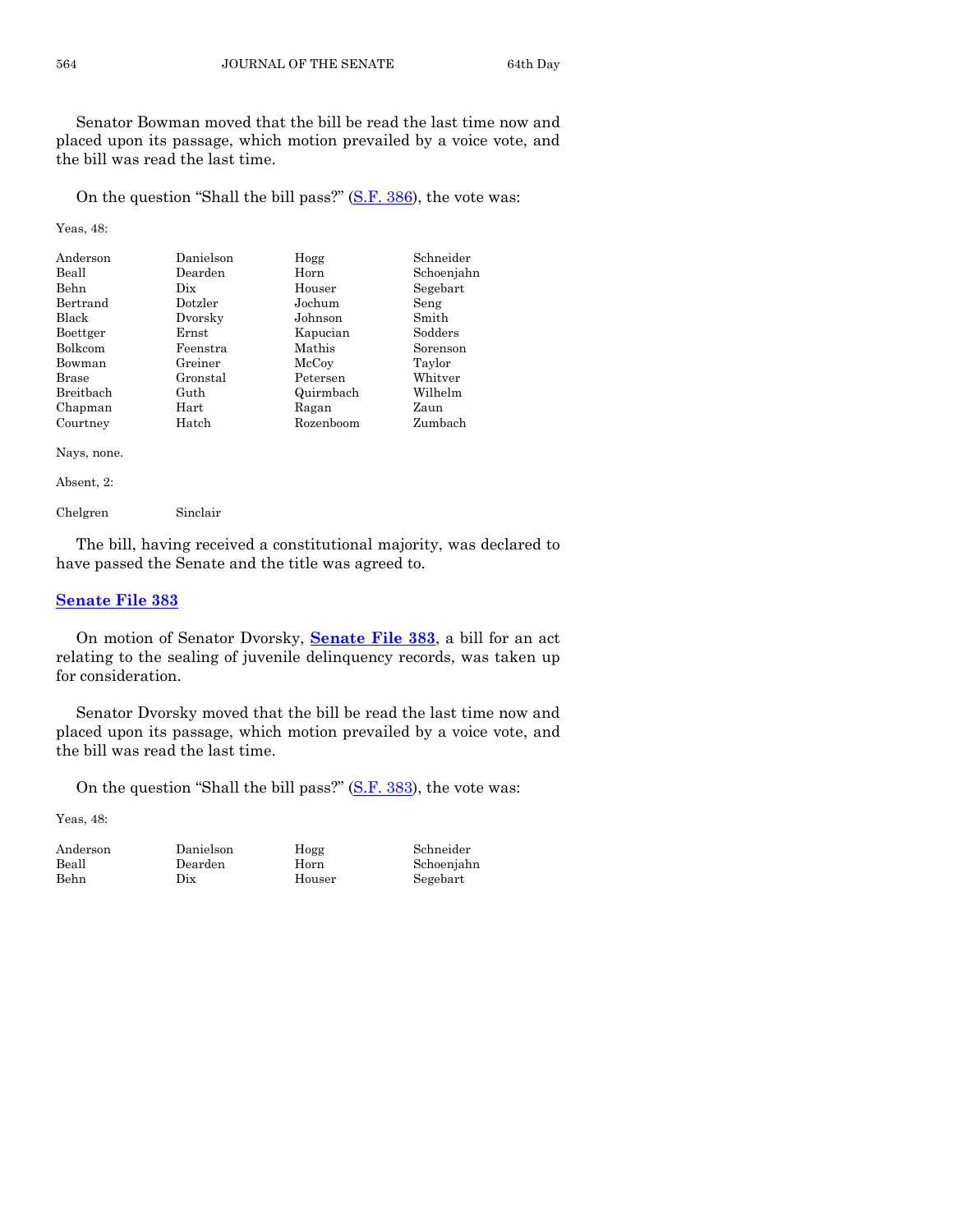Senator Bowman moved that the bill be read the last time now and placed upon its passage, which motion prevailed by a voice vote, and the bill was read the last time.

On the question "Shall the bill pass?" [\(S.F. 386\)](http://coolice.legis.state.ia.us/Cool-ICE/default.asp?Category=billinfo&Service=Billbook&frame=1&GA=85&hbill=SF386), the vote was:

Yeas, 48:

| Anderson     | Danielson  | Hogg      | Schneider  |
|--------------|------------|-----------|------------|
| Beall        | Dearden    | Horn      | Schoenjahn |
| <b>Behn</b>  | Dix        | Houser    | Segebart   |
| Bertrand     | Dotzler    | Jochum    | Seng       |
| <b>Black</b> | Dvorsky    | Johnson   | Smith      |
| Boettger     | Ernst      | Kapucian  | Sodders    |
| Bolkcom      | Feenstra   | Mathis    | Sorenson   |
| Bowman       | Greiner    | McCoy     | Taylor     |
| <b>Brase</b> | Gronstal   | Petersen  | Whitver    |
| Breitbach    | Guth       | Quirmbach | Wilhelm    |
| Chapman      | $\rm Hart$ | Ragan     | Zaun       |
| Courtney     | Hatch      | Rozenboom | Zumbach    |

Nays, none.

Absent, 2:

Chelgren Sinclair

The bill, having received a constitutional majority, was declared to have passed the Senate and the title was agreed to.

# **[Senate File 383](http://coolice.legis.state.ia.us/Cool-ICE/default.asp?Category=billinfo&Service=Billbook&frame=1&GA=85&hbill=SF383)**

On motion of Senator Dvorsky, **[Senate File 383](http://coolice.legis.state.ia.us/Cool-ICE/default.asp?Category=billinfo&Service=Billbook&frame=1&GA=85&hbill=SF383)**, a bill for an act relating to the sealing of juvenile delinquency records, was taken up for consideration.

Senator Dvorsky moved that the bill be read the last time now and placed upon its passage, which motion prevailed by a voice vote, and the bill was read the last time.

On the question "Shall the bill pass?"  $(S.F. 383)$ , the vote was:

Yeas, 48:

Behn Dix Houser Segebart

Anderson Danielson Hogg Schneider

Schoenjahn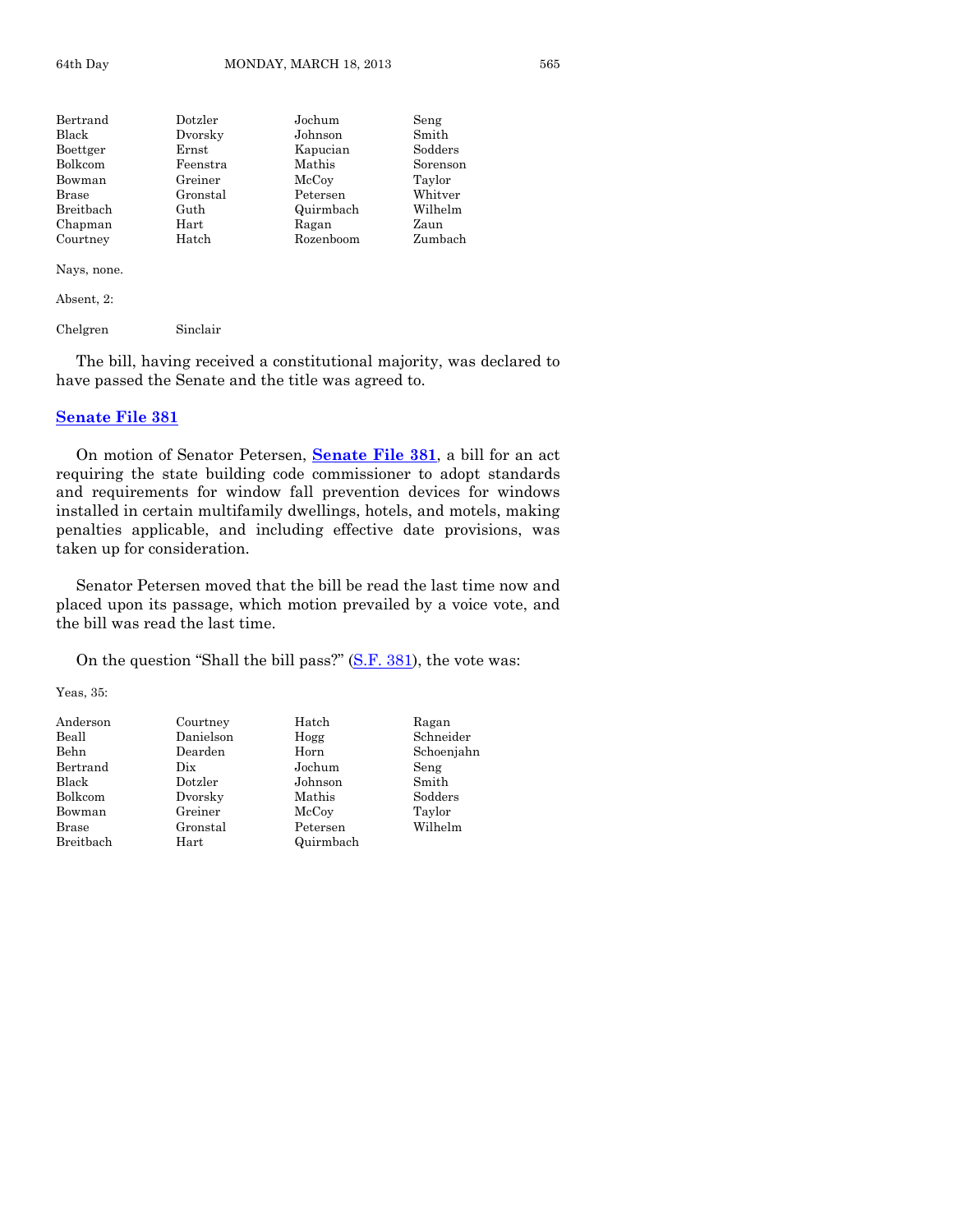| Bertrand  | Dotzler  | Jochum    | Seng     |
|-----------|----------|-----------|----------|
| Black     | Dvorsky  | Johnson   | Smith    |
| Boettger  | Ernst    | Kapucian  | Sodders  |
| Bolkcom   | Feenstra | Mathis    | Sorenson |
| Bowman    | Greiner  | McCoy     | Taylor   |
| Brase     | Gronstal | Petersen  | Whitver  |
| Breitbach | Guth     | Quirmbach | Wilhelm  |
| Chapman   | Hart     | Ragan     | Zaun     |
| Courtney  | Hatch    | Rozenboom | Zumbach  |
|           |          |           |          |

Nays, none.

Absent, 2:

Chelgren Sinclair

The bill, having received a constitutional majority, was declared to have passed the Senate and the title was agreed to.

#### **[Senate File 381](http://coolice.legis.state.ia.us/Cool-ICE/default.asp?Category=billinfo&Service=Billbook&frame=1&GA=85&hbill=SF381)**

On motion of Senator Petersen, **[Senate File 381](http://coolice.legis.state.ia.us/Cool-ICE/default.asp?Category=billinfo&Service=Billbook&frame=1&GA=85&hbill=SF381)**, a bill for an act requiring the state building code commissioner to adopt standards and requirements for window fall prevention devices for windows installed in certain multifamily dwellings, hotels, and motels, making penalties applicable, and including effective date provisions, was taken up for consideration.

Senator Petersen moved that the bill be read the last time now and placed upon its passage, which motion prevailed by a voice vote, and the bill was read the last time.

On the question "Shall the bill pass?" [\(S.F. 381\)](http://coolice.legis.state.ia.us/Cool-ICE/default.asp?Category=billinfo&Service=Billbook&frame=1&GA=85&hbill=SF381), the vote was:

Yeas, 35:

| Anderson  | Courtney  | Hatch     | Ragan      |
|-----------|-----------|-----------|------------|
| Beall     | Danielson | Hogg      | Schneider  |
| Behn      | Dearden   | Horn      | Schoenjahn |
| Bertrand  | Dix       | Jochum    | Seng       |
| Black     | Dotzler   | Johnson   | Smith      |
| Bolkcom   | Dvorsky   | Mathis    | Sodders    |
| Bowman    | Greiner   | McCoy     | Taylor     |
| Brase     | Gronstal  | Petersen  | Wilhelm    |
| Breitbach | Hart      | Quirmbach |            |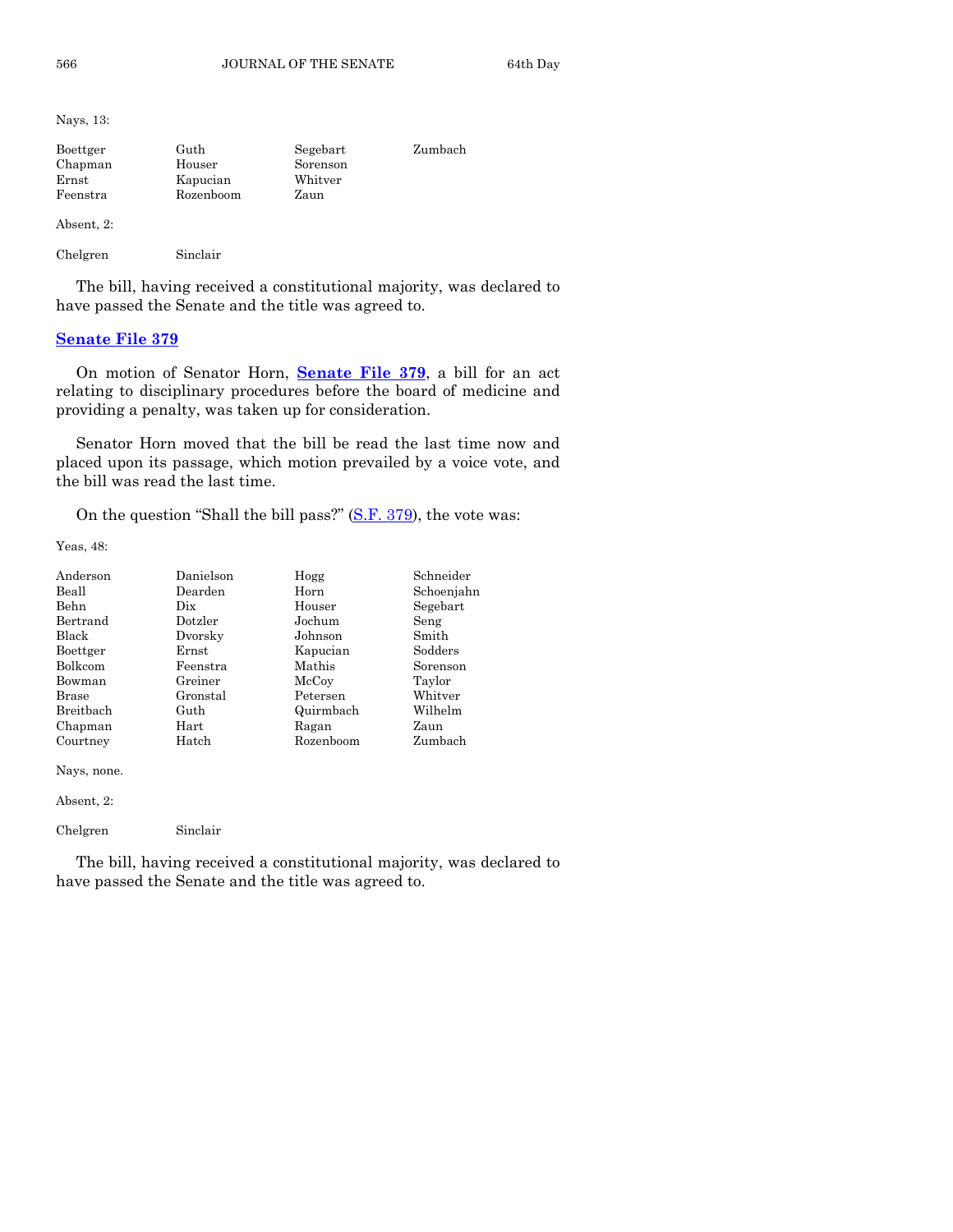Nays, 13:

| Boettger   | Guth      | Segebart | Zumbach |
|------------|-----------|----------|---------|
| Chapman    | Houser    | Sorenson |         |
| Ernst      | Kapucian  | Whitver  |         |
| Feenstra   | Rozenboom | Zaun     |         |
|            |           |          |         |
| Absent, 2: |           |          |         |

Chelgren Sinclair

The bill, having received a constitutional majority, was declared to have passed the Senate and the title was agreed to.

# **[Senate File 379](http://coolice.legis.state.ia.us/Cool-ICE/default.asp?Category=billinfo&Service=Billbook&frame=1&GA=85&hbill=SF379)**

On motion of Senator Horn, **[Senate File 379](http://coolice.legis.state.ia.us/Cool-ICE/default.asp?Category=billinfo&Service=Billbook&frame=1&GA=85&hbill=SF379)**, a bill for an act relating to disciplinary procedures before the board of medicine and providing a penalty, was taken up for consideration.

Senator Horn moved that the bill be read the last time now and placed upon its passage, which motion prevailed by a voice vote, and the bill was read the last time.

On the question "Shall the bill pass?" [\(S.F. 379\)](http://coolice.legis.state.ia.us/Cool-ICE/default.asp?Category=billinfo&Service=Billbook&frame=1&GA=85&hbill=SF379), the vote was:

Yeas, 48:

| Anderson    | Danielson                       | Hogg      | Schneider  |
|-------------|---------------------------------|-----------|------------|
| Beall       | Dearden                         | Horn      | Schoenjahn |
| Behn        | $_{\rm \scriptscriptstyle Dix}$ | Houser    | Segebart   |
| Bertrand    | Dotzler                         | Jochum    | Seng       |
| Black       | Dvorsky                         | Johnson   | Smith      |
| Boettger    | Ernst                           | Kapucian  | Sodders    |
| Bolkcom     | Feenstra                        | Mathis    | Sorenson   |
| Bowman      | Greiner                         | McCoy     | Taylor     |
| Brase       | Gronstal                        | Petersen  | Whitver    |
| Breitbach   | Guth                            | Quirmbach | Wilhelm    |
| Chapman     | Hart                            | Ragan     | Zaun       |
| Courtney    | Hatch                           | Rozenboom | Zumbach    |
| Nays, none. |                                 |           |            |
| Absent, 2:  |                                 |           |            |

Chelgren Sinclair

The bill, having received a constitutional majority, was declared to have passed the Senate and the title was agreed to.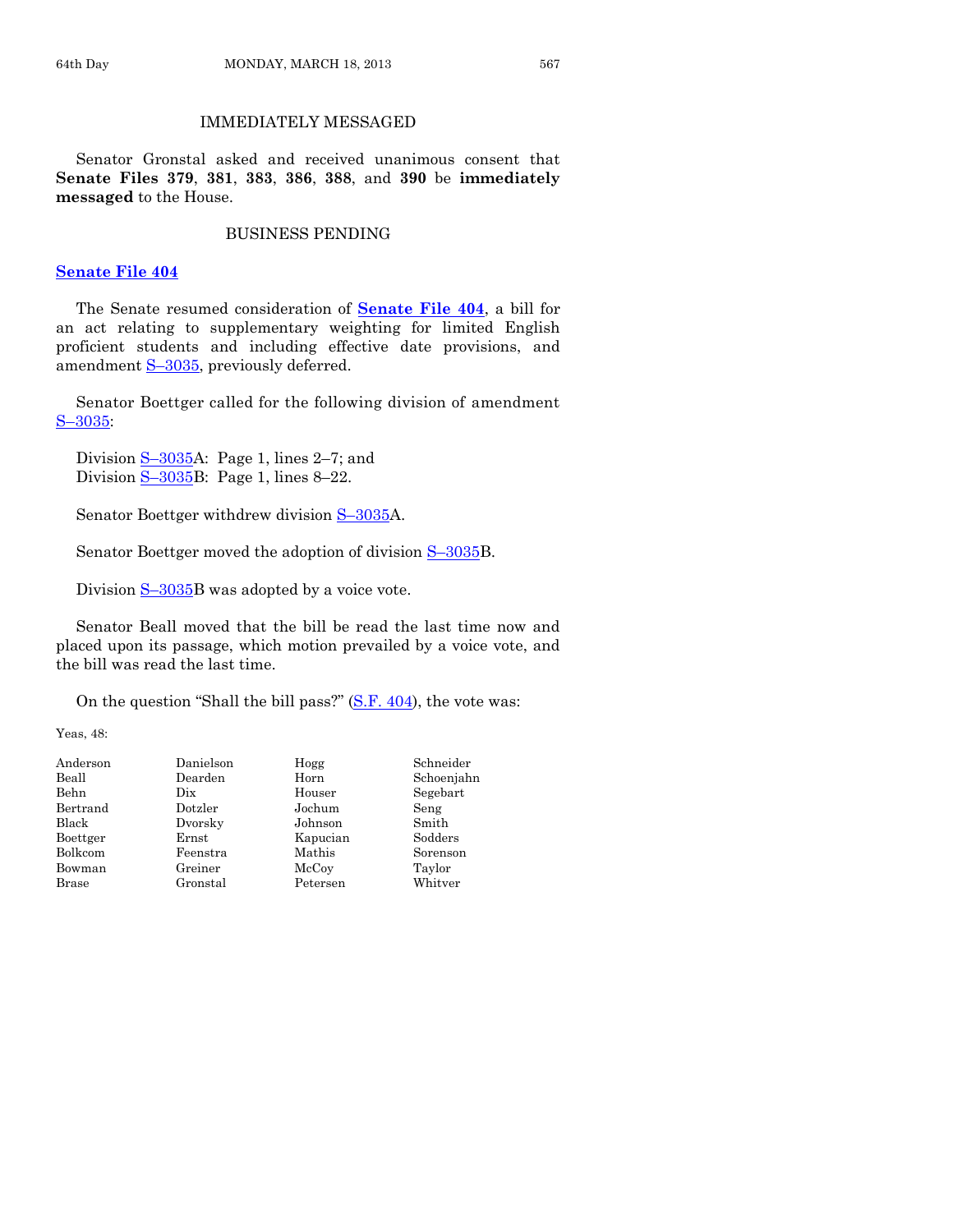# IMMEDIATELY MESSAGED

Senator Gronstal asked and received unanimous consent that **Senate Files 379**, **381**, **383**, **386**, **388**, and **390** be **immediately messaged** to the House.

### BUSINESS PENDING

#### **[Senate File 404](http://coolice.legis.state.ia.us/Cool-ICE/default.asp?Category=billinfo&Service=Billbook&frame=1&GA=85&hbill=SF404)**

The Senate resumed consideration of **[Senate File 404](http://coolice.legis.state.ia.us/Cool-ICE/default.asp?Category=billinfo&Service=Billbook&frame=1&GA=85&hbill=SF404)**, a bill for an act relating to supplementary weighting for limited English proficient students and including effective date provisions, and amendment S-[3035,](http://coolice.legis.state.ia.us/Cool-ICE/default.asp?Category=billinfo&Service=Billbook&frame=1&GA=85&hbill=S3035) previously deferred.

Senator Boettger called for the following division of amendment S–[3035:](http://coolice.legis.state.ia.us/Cool-ICE/default.asp?Category=billinfo&Service=Billbook&frame=1&GA=85&hbill=S3035)

Division  $S-3035$ A: Page 1, lines 2–7; and Division  $S-3035B$  $S-3035B$ : Page 1, lines 8-22.

Senator Boettger withdrew division  $S$ -[3035A](http://coolice.legis.state.ia.us/Cool-ICE/default.asp?Category=billinfo&Service=Billbook&frame=1&GA=85&hbill=S3035).

Senator Boettger moved the adoption of division  $S$ –[3035B](http://coolice.legis.state.ia.us/Cool-ICE/default.asp?Category=billinfo&Service=Billbook&frame=1&GA=85&hbill=S3035).

Division  $S-3035B$  $S-3035B$  was adopted by a voice vote.

Senator Beall moved that the bill be read the last time now and placed upon its passage, which motion prevailed by a voice vote, and the bill was read the last time.

On the question "Shall the bill pass?" [\(S.F. 404\)](http://coolice.legis.state.ia.us/Cool-ICE/default.asp?Category=billinfo&Service=Billbook&frame=1&GA=85&hbill=SF404), the vote was:

Yeas, 48:

| Danielson | Hogg     | Schneider  |
|-----------|----------|------------|
| Dearden   | Horn     | Schoenjahn |
| Dix       | Houser   | Segebart   |
| Dotzler   | Jochum   | Seng       |
| Dvorsky   | Johnson  | Smith      |
| Ernst     | Kapucian | Sodders    |
| Feenstra  | Mathis   | Sorenson   |
| Greiner   | McCoy    | Taylor     |
| Gronstal  | Petersen | Whitver    |
|           |          |            |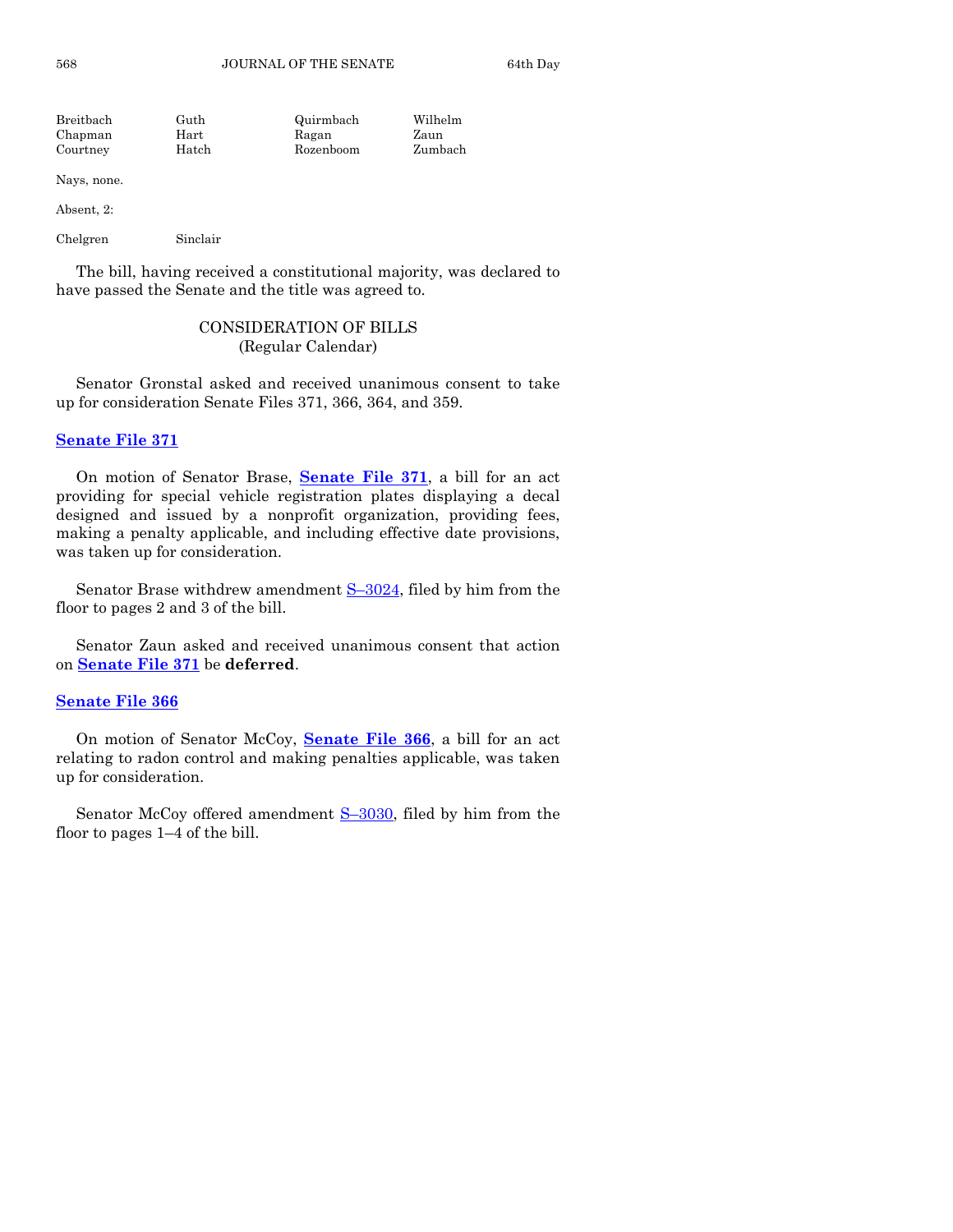| Breitbach | Guth  | Quirmbach | Wilhelm |
|-----------|-------|-----------|---------|
| Chapman   | Hart  | Ragan     | Zaun    |
| Courtney  | Hatch | Rozenboom | Zumbach |

Nays, none.

Absent, 2:

Chelgren Sinclair

The bill, having received a constitutional majority, was declared to have passed the Senate and the title was agreed to.

# CONSIDERATION OF BILLS (Regular Calendar)

Senator Gronstal asked and received unanimous consent to take up for consideration Senate Files 371, 366, 364, and 359.

# **[Senate File 371](http://coolice.legis.state.ia.us/Cool-ICE/default.asp?Category=billinfo&Service=Billbook&frame=1&GA=85&hbill=SF371)**

On motion of Senator Brase, **[Senate File 371](http://coolice.legis.state.ia.us/Cool-ICE/default.asp?Category=billinfo&Service=Billbook&frame=1&GA=85&hbill=SF371)**, a bill for an act providing for special vehicle registration plates displaying a decal designed and issued by a nonprofit organization, providing fees, making a penalty applicable, and including effective date provisions, was taken up for consideration.

Senator Brase withdrew amendment  $S-3024$ , filed by him from the floor to pages 2 and 3 of the bill.

Senator Zaun asked and received unanimous consent that action on **[Senate File 371](http://coolice.legis.state.ia.us/Cool-ICE/default.asp?Category=billinfo&Service=Billbook&frame=1&GA=85&hbill=SF371)** be **deferred**.

# **[Senate File 366](http://coolice.legis.state.ia.us/Cool-ICE/default.asp?Category=billinfo&Service=Billbook&frame=1&GA=85&hbill=SF366)**

On motion of Senator McCoy, **[Senate File 366](http://coolice.legis.state.ia.us/Cool-ICE/default.asp?Category=billinfo&Service=Billbook&frame=1&GA=85&hbill=SF366)**, a bill for an act relating to radon control and making penalties applicable, was taken up for consideration.

Senator McCoy offered amendment S-[3030,](http://coolice.legis.state.ia.us/Cool-ICE/default.asp?Category=billinfo&Service=Billbook&frame=1&GA=85&hbill=S3030) filed by him from the floor to pages 1–4 of the bill.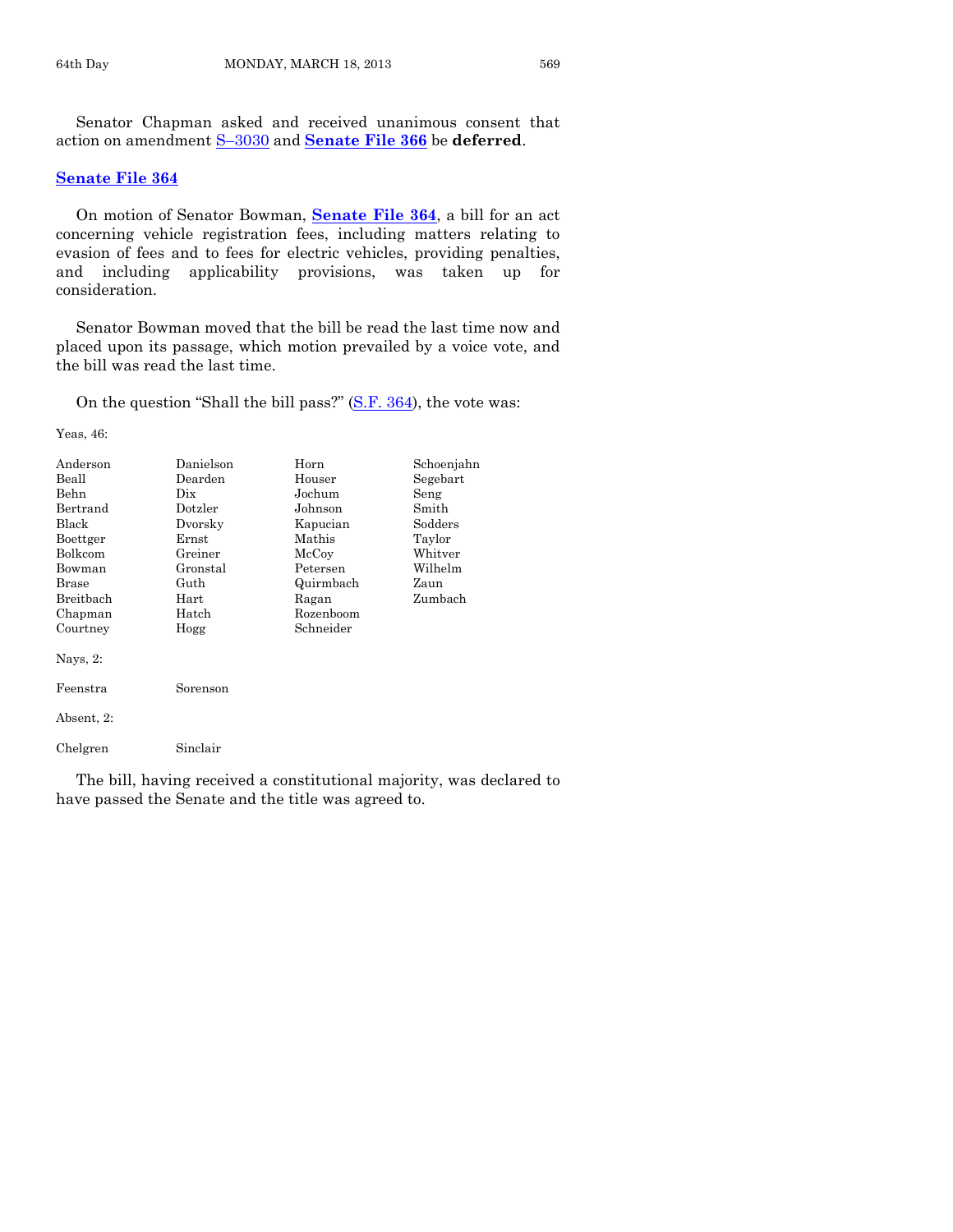Senator Chapman asked and received unanimous consent that action on amendment S–[3030](http://coolice.legis.state.ia.us/Cool-ICE/default.asp?Category=billinfo&Service=Billbook&frame=1&GA=85&hbill=S3030) and **[Senate File 366](http://coolice.legis.state.ia.us/Cool-ICE/default.asp?Category=billinfo&Service=Billbook&frame=1&GA=85&hbill=SF366)** be **deferred**.

#### **[Senate File 364](http://coolice.legis.state.ia.us/Cool-ICE/default.asp?Category=billinfo&Service=Billbook&frame=1&GA=85&hbill=SF364)**

On motion of Senator Bowman, **[Senate File 364](http://coolice.legis.state.ia.us/Cool-ICE/default.asp?Category=billinfo&Service=Billbook&frame=1&GA=85&hbill=SF364)**, a bill for an act concerning vehicle registration fees, including matters relating to evasion of fees and to fees for electric vehicles, providing penalties, and including applicability provisions, was taken up for consideration.

Senator Bowman moved that the bill be read the last time now and placed upon its passage, which motion prevailed by a voice vote, and the bill was read the last time.

On the question "Shall the bill pass?" [\(S.F. 364\)](http://coolice.legis.state.ia.us/Cool-ICE/default.asp?Category=billinfo&Service=Billbook&frame=1&GA=85&hbill=SF364), the vote was:

Yeas, 46:

| Anderson<br>Beall<br>Behn<br>Bertrand<br>Black<br>Boettger<br>Bolkcom<br>Bowman<br>Brase<br>Breithach<br>Chapman | Danielson<br>Dearden<br>$_{\rm \scriptscriptstyle Dix}$<br>Dotzler<br>Dvorsky<br>Ernst<br>Greiner<br>Gronstal<br>Guth<br>Hart<br>Hatch | Horn<br>Houser<br>Jochum<br>Johnson<br>Kapucian<br>Mathis<br>McCoy<br>Petersen<br>Quirmbach<br>Ragan<br>Rozenboom | Schoenjahn<br>Segebart<br>Seng<br>Smith<br>$S$ odders<br>Taylor<br>Whitver<br>Wilhelm<br>Zaun<br>Zumbach |
|------------------------------------------------------------------------------------------------------------------|----------------------------------------------------------------------------------------------------------------------------------------|-------------------------------------------------------------------------------------------------------------------|----------------------------------------------------------------------------------------------------------|
| Courtney<br>Nays, $2$ :<br>Feenstra<br>Absent, 2:<br>Chelgren                                                    | Hogg<br>Sorenson<br>Sinclair                                                                                                           | Schneider                                                                                                         |                                                                                                          |

The bill, having received a constitutional majority, was declared to have passed the Senate and the title was agreed to.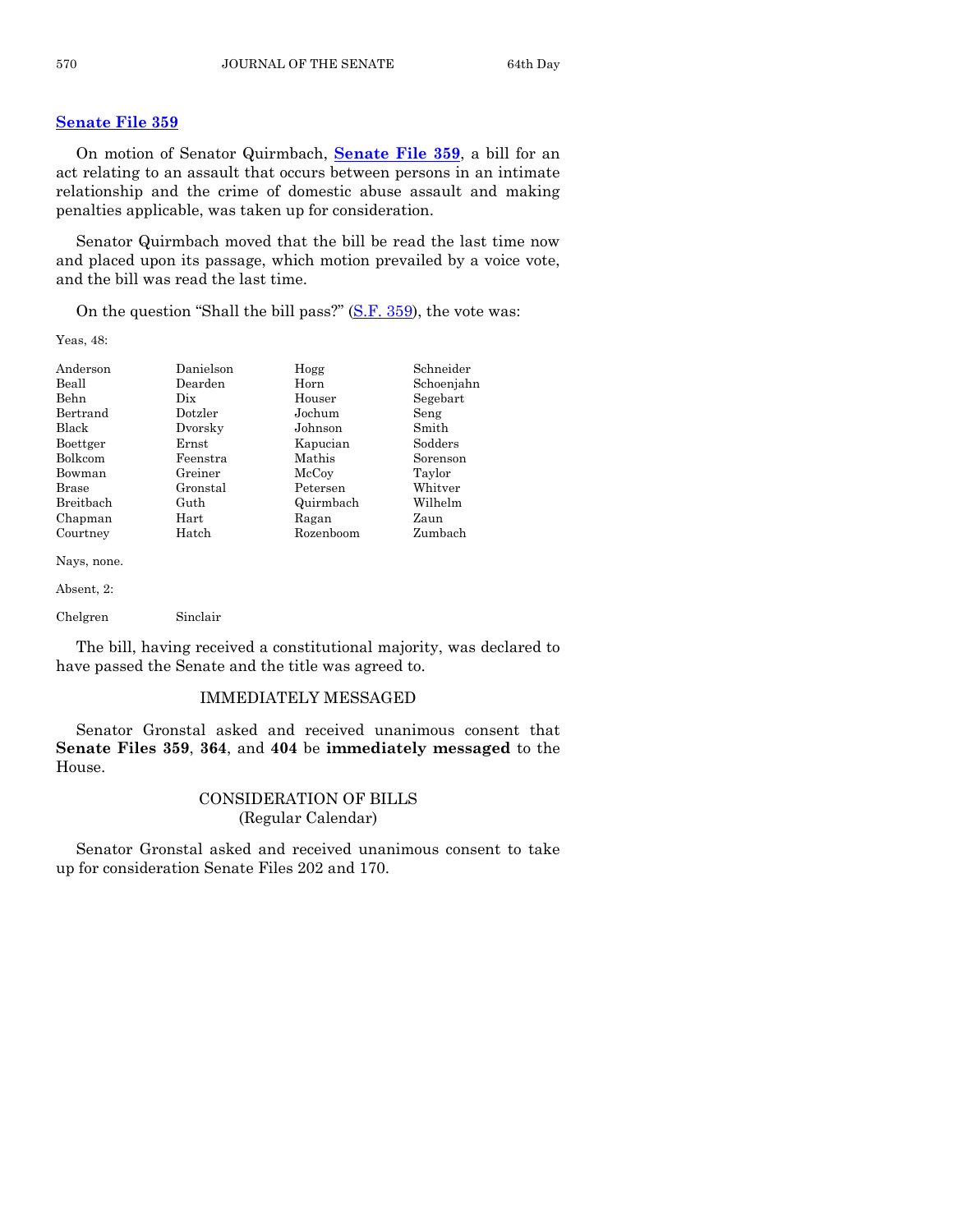# **[Senate File 359](http://coolice.legis.state.ia.us/Cool-ICE/default.asp?Category=billinfo&Service=Billbook&frame=1&GA=85&hbill=SF359)**

On motion of Senator Quirmbach, **[Senate File 359](http://coolice.legis.state.ia.us/Cool-ICE/default.asp?Category=billinfo&Service=Billbook&frame=1&GA=85&hbill=SF359)**, a bill for an act relating to an assault that occurs between persons in an intimate relationship and the crime of domestic abuse assault and making penalties applicable, was taken up for consideration.

Senator Quirmbach moved that the bill be read the last time now and placed upon its passage, which motion prevailed by a voice vote, and the bill was read the last time.

On the question "Shall the bill pass?" [\(S.F. 359\)](http://coolice.legis.state.ia.us/Cool-ICE/default.asp?Category=billinfo&Service=Billbook&frame=1&GA=85&hbill=SF359), the vote was:

Yeas, 48:

| Anderson         | Danielson | Hogg      | Schneider  |
|------------------|-----------|-----------|------------|
| Beall            | Dearden   | Horn      | Schoenjahn |
| Behn             | Dix       | Houser    | Segebart   |
| Bertrand         | Dotzler   | Jochum    | Seng       |
| Black            | Dvorsky   | Johnson   | Smith      |
| Boettger         | Ernst     | Kapucian  | Sodders    |
| Bolkcom          | Feenstra  | Mathis    | Sorenson   |
| Bowman           | Greiner   | McCoy     | Taylor     |
| <b>Brase</b>     | Gronstal  | Petersen  | Whitver    |
| <b>Breithach</b> | Guth      | Quirmbach | Wilhelm    |
| Chapman          | Hart      | Ragan     | Zaun       |
| Courtney         | Hatch     | Rozenboom | Zumbach    |
| Nays, none.      |           |           |            |

Absent, 2:

Chelgren Sinclair

The bill, having received a constitutional majority, was declared to have passed the Senate and the title was agreed to.

#### IMMEDIATELY MESSAGED

Senator Gronstal asked and received unanimous consent that **Senate Files 359**, **364**, and **404** be **immediately messaged** to the House.

# CONSIDERATION OF BILLS (Regular Calendar)

Senator Gronstal asked and received unanimous consent to take up for consideration Senate Files 202 and 170.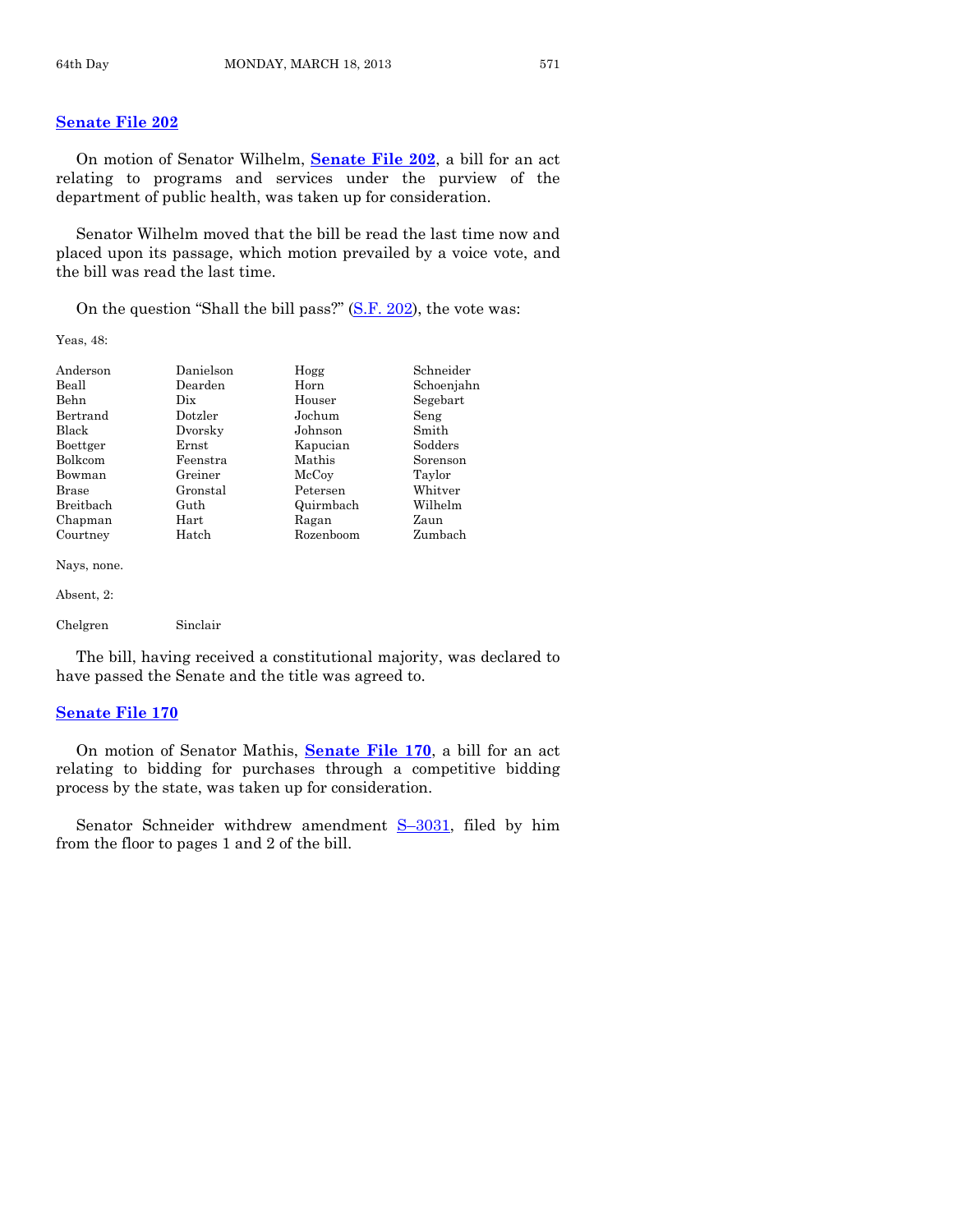#### **[Senate File 202](http://coolice.legis.state.ia.us/Cool-ICE/default.asp?Category=billinfo&Service=Billbook&frame=1&GA=85&hbill=SF202)**

On motion of Senator Wilhelm, **[Senate File 202](http://coolice.legis.state.ia.us/Cool-ICE/default.asp?Category=billinfo&Service=Billbook&frame=1&GA=85&hbill=SF202)**, a bill for an act relating to programs and services under the purview of the department of public health, was taken up for consideration.

Senator Wilhelm moved that the bill be read the last time now and placed upon its passage, which motion prevailed by a voice vote, and the bill was read the last time.

On the question "Shall the bill pass?" [\(S.F. 202\)](http://coolice.legis.state.ia.us/Cool-ICE/default.asp?Category=billinfo&Service=Billbook&frame=1&GA=85&hbill=SF202), the vote was:

Yeas, 48:

| Anderson    | Danielson | Hogg      | Schneider  |
|-------------|-----------|-----------|------------|
| Beall       | Dearden   | Horn      | Schoenjahn |
| Behn        | Dix.      | Houser    | Segebart   |
| Bertrand    | Dotzler   | Jochum    | Seng       |
| Black       | Dvorsky   | Johnson   | Smith      |
| Boettger    | Ernst     | Kapucian  | Sodders    |
| Bolkcom     | Feenstra  | Mathis    | Sorenson   |
| Bowman      | Greiner   | McCoy     | Taylor     |
| Brase       | Gronstal  | Petersen  | Whitver    |
| Breithach   | Guth      | Quirmbach | Wilhelm    |
| Chapman     | Hart      | Ragan     | Zaun       |
| Courtney    | Hatch     | Rozenboom | Zumbach    |
| Nays, none. |           |           |            |
| Absent, 2:  |           |           |            |
| Chelgren    | Sinclair  |           |            |

The bill, having received a constitutional majority, was declared to have passed the Senate and the title was agreed to.

# **[Senate File 170](http://coolice.legis.state.ia.us/Cool-ICE/default.asp?Category=billinfo&Service=Billbook&frame=1&GA=85&hbill=SF170)**

On motion of Senator Mathis, **[Senate File 170](http://coolice.legis.state.ia.us/Cool-ICE/default.asp?Category=billinfo&Service=Billbook&frame=1&GA=85&hbill=SF170)**, a bill for an act relating to bidding for purchases through a competitive bidding process by the state, was taken up for consideration.

Senator Schneider withdrew amendment S-[3031,](http://coolice.legis.state.ia.us/Cool-ICE/default.asp?Category=billinfo&Service=Billbook&frame=1&GA=85&hbill=S3031) filed by him from the floor to pages 1 and 2 of the bill.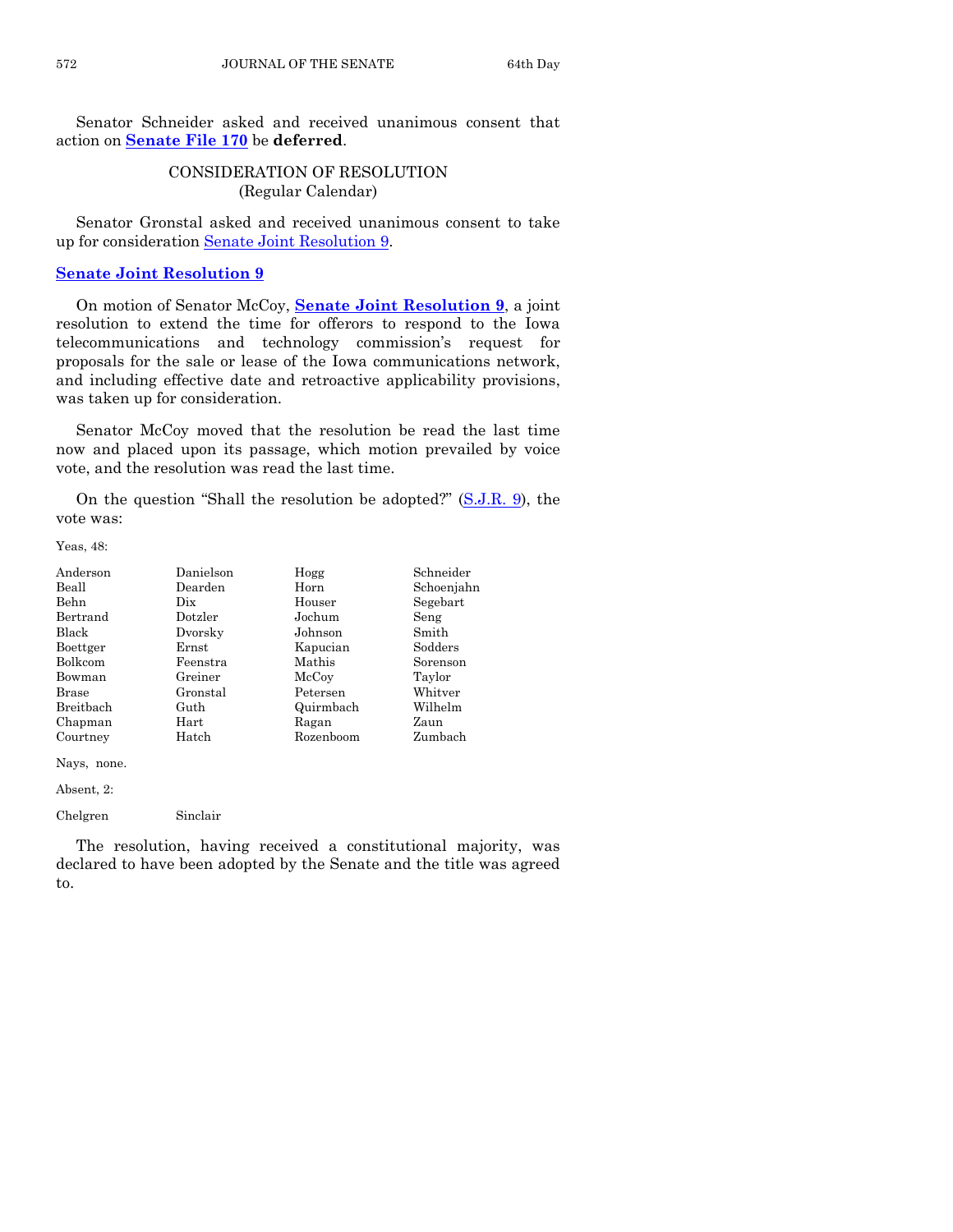Senator Schneider asked and received unanimous consent that action on **[Senate File 170](http://coolice.legis.state.ia.us/Cool-ICE/default.asp?Category=billinfo&Service=Billbook&frame=1&GA=85&hbill=SF170)** be **deferred**.

# CONSIDERATION OF RESOLUTION (Regular Calendar)

Senator Gronstal asked and received unanimous consent to take up for consideration [Senate Joint Resolution 9.](http://coolice.legis.state.ia.us/Cool-ICE/default.asp?Category=billinfo&Service=Billbook&frame=1&GA=85&hbill=SJR9)

# **[Senate Joint Resolution 9](http://coolice.legis.state.ia.us/Cool-ICE/default.asp?Category=billinfo&Service=Billbook&frame=1&GA=85&hbill=SJR9)**

On motion of Senator McCoy, **[Senate Joint Resolution 9](http://coolice.legis.state.ia.us/Cool-ICE/default.asp?Category=billinfo&Service=Billbook&frame=1&GA=85&hbill=SJR9)**, a joint resolution to extend the time for offerors to respond to the Iowa telecommunications and technology commission's request for proposals for the sale or lease of the Iowa communications network, and including effective date and retroactive applicability provisions, was taken up for consideration.

Senator McCoy moved that the resolution be read the last time now and placed upon its passage, which motion prevailed by voice vote, and the resolution was read the last time.

On the question "Shall the resolution be adopted?" [\(S.J.R. 9\)](http://coolice.legis.state.ia.us/Cool-ICE/default.asp?Category=billinfo&Service=Billbook&frame=1&GA=85&hbill=SJR9), the vote was:

Yeas, 48:

| Anderson    | Danielson | Hogg      | Schneider  |
|-------------|-----------|-----------|------------|
| Beall       | Dearden   | Horn      | Schoenjahn |
| <b>Behn</b> | Dix       | Houser    | Segebart   |
| Bertrand    | Dotzler   | Jochum    | Seng       |
| Black       | Dvorsky   | Johnson   | Smith      |
| Boettger    | Ernst     | Kapucian  | Sodders    |
| Bolkcom     | Feenstra  | Mathis    | Sorenson   |
| Bowman      | Greiner   | McCoy     | Taylor     |
| Brase       | Gronstal  | Petersen  | Whitver    |
| Breitbach   | Guth      | Quirmbach | Wilhelm    |
| Chapman     | Hart      | Ragan     | Zaun       |
| Courtney    | Hatch     | Rozenboom | Zumbach    |

Nays, none.

Absent, 2:

Chelgren Sinclair

The resolution, having received a constitutional majority, was declared to have been adopted by the Senate and the title was agreed to.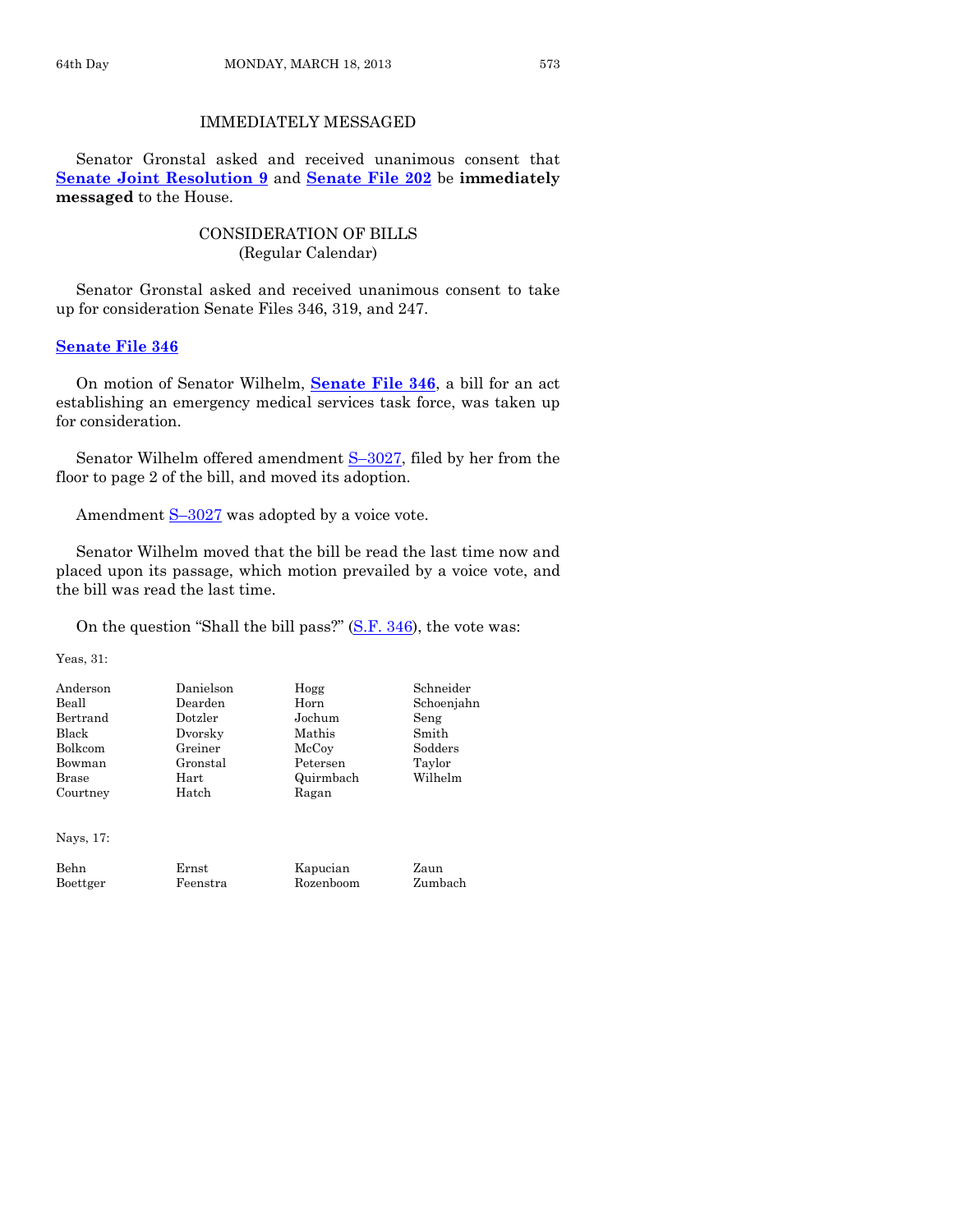# IMMEDIATELY MESSAGED

Senator Gronstal asked and received unanimous consent that **[Senate Joint Resolution 9](http://coolice.legis.state.ia.us/Cool-ICE/default.asp?Category=billinfo&Service=Billbook&frame=1&GA=85&hbill=SJR9)** and **[Senate File 202](http://coolice.legis.state.ia.us/Cool-ICE/default.asp?Category=billinfo&Service=Billbook&frame=1&GA=85&hbill=SF202)** be **immediately messaged** to the House.

# CONSIDERATION OF BILLS (Regular Calendar)

Senator Gronstal asked and received unanimous consent to take up for consideration Senate Files 346, 319, and 247.

## **[Senate File 346](http://coolice.legis.state.ia.us/Cool-ICE/default.asp?Category=billinfo&Service=Billbook&frame=1&GA=85&hbill=SF346)**

On motion of Senator Wilhelm, **[Senate File 346](http://coolice.legis.state.ia.us/Cool-ICE/default.asp?Category=billinfo&Service=Billbook&frame=1&GA=85&hbill=SF346)**, a bill for an act establishing an emergency medical services task force, was taken up for consideration.

Senator Wilhelm offered amendment S-[3027,](http://coolice.legis.state.ia.us/Cool-ICE/default.asp?Category=billinfo&Service=Billbook&frame=1&GA=85&hbill=S3027) filed by her from the floor to page 2 of the bill, and moved its adoption.

Amendment  $S-3027$  $S-3027$  was adopted by a voice vote.

Senator Wilhelm moved that the bill be read the last time now and placed upon its passage, which motion prevailed by a voice vote, and the bill was read the last time.

On the question "Shall the bill pass?" [\(S.F. 346\)](http://coolice.legis.state.ia.us/Cool-ICE/default.asp?Category=billinfo&Service=Billbook&frame=1&GA=85&hbill=SF346), the vote was:

Yeas, 31:

| Anderson | Danielson  | Hogg      | Schneider  |
|----------|------------|-----------|------------|
| Beall    | Dearden    | Horn      | Schoenjahn |
| Bertrand | Dotzler    | Jochum    | Seng       |
| Black    | Dvorsky    | Mathis    | Smith      |
| Bolkcom  | Greiner    | McCoy     | Sodders    |
| Bowman   | Gronstal   | Petersen  | Taylor     |
| Brase    | $\rm Hart$ | Quirmbach | Wilhelm    |
| Courtney | Hatch      | Ragan     |            |

Nays, 17:

Behn Ernst Kapucian Zaun Boettger Feenstra Rozenboom Zumbach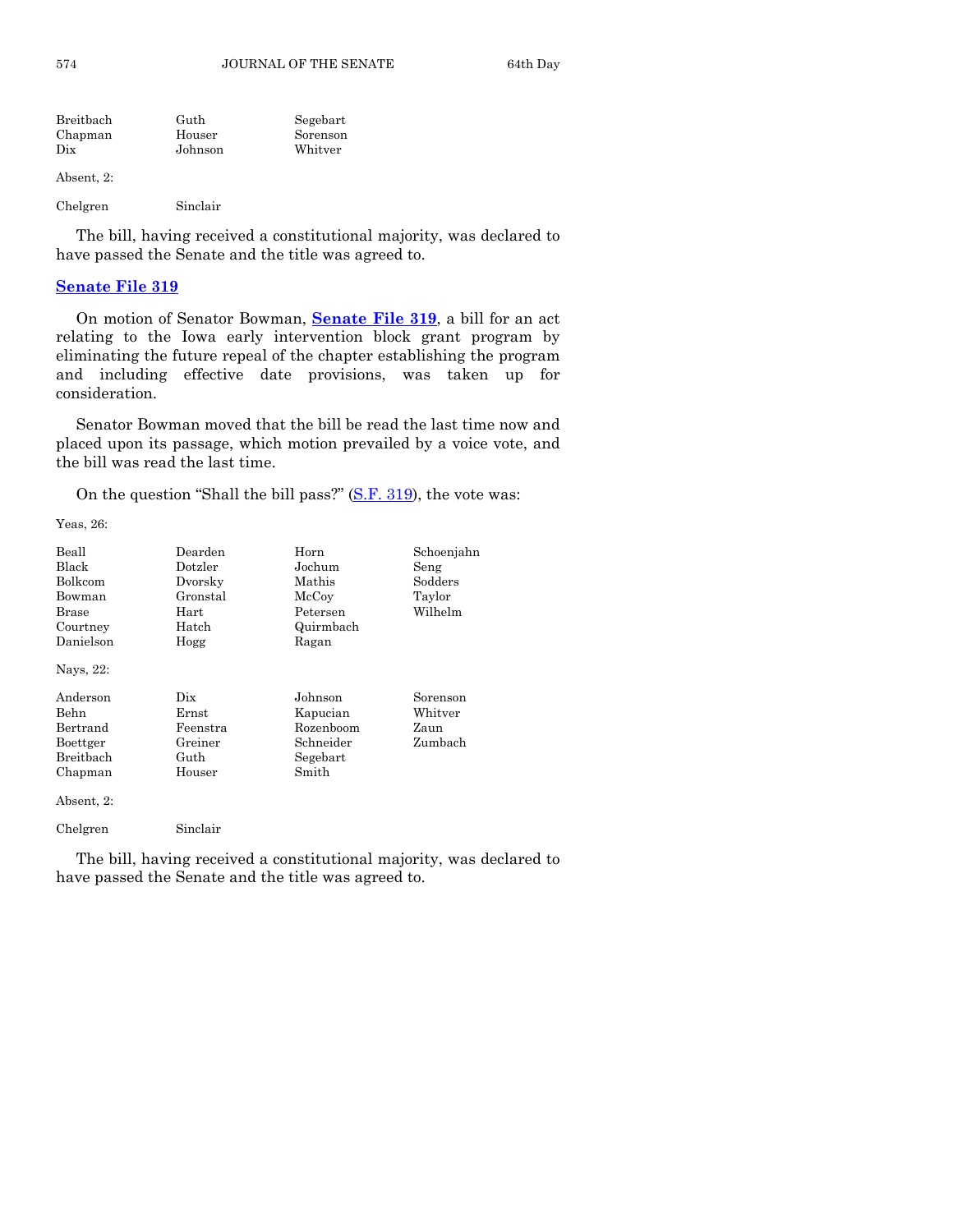| Breitbach | Guth    | Segebart |
|-----------|---------|----------|
| Chapman   | Houser  | Sorenson |
| Dix       | Johnson | Whitver  |
|           |         |          |

Absent, 2:

Chelgren Sinclair

The bill, having received a constitutional majority, was declared to have passed the Senate and the title was agreed to.

# **[Senate File 319](http://coolice.legis.state.ia.us/Cool-ICE/default.asp?Category=billinfo&Service=Billbook&frame=1&GA=85&hbill=SF319)**

On motion of Senator Bowman, **[Senate File 319](http://coolice.legis.state.ia.us/Cool-ICE/default.asp?Category=billinfo&Service=Billbook&frame=1&GA=85&hbill=SF319)**, a bill for an act relating to the Iowa early intervention block grant program by eliminating the future repeal of the chapter establishing the program and including effective date provisions, was taken up for consideration.

Senator Bowman moved that the bill be read the last time now and placed upon its passage, which motion prevailed by a voice vote, and the bill was read the last time.

On the question "Shall the bill pass?" [\(S.F. 319\)](http://coolice.legis.state.ia.us/Cool-ICE/default.asp?Category=billinfo&Service=Billbook&frame=1&GA=85&hbill=SF319), the vote was:

Yeas, 26:

| Beall<br>Black<br>Bolkcom<br>Bowman<br>Brase<br>Courtney<br>Danielson<br>Nays, 22:    | Dearden<br>Dotzler<br>Dvorsky<br>Gronstal<br>Hart<br>Hatch<br>Hogg | Horn<br>Jochum<br>Mathis<br>McCoy<br>Petersen<br>Quirmbach<br>Ragan | Schoenjahn<br>Seng<br>Sodders<br>Taylor<br>Wilhelm |
|---------------------------------------------------------------------------------------|--------------------------------------------------------------------|---------------------------------------------------------------------|----------------------------------------------------|
| Anderson<br>Behn<br>Bertrand<br>Boettger<br><b>Breithach</b><br>Chapman<br>Absent, 2: | Dix<br>$\rm Ernst$<br>Feenstra<br>Greiner<br>Guth<br>Houser        | Johnson<br>Kapucian<br>Rozenboom<br>Schneider<br>Segebart<br>Smith  | Sorenson<br>$\rm Whitter$<br>Zaun<br>Zumbach       |
| Chelgren                                                                              | Sinclair                                                           |                                                                     |                                                    |

The bill, having received a constitutional majority, was declared to have passed the Senate and the title was agreed to.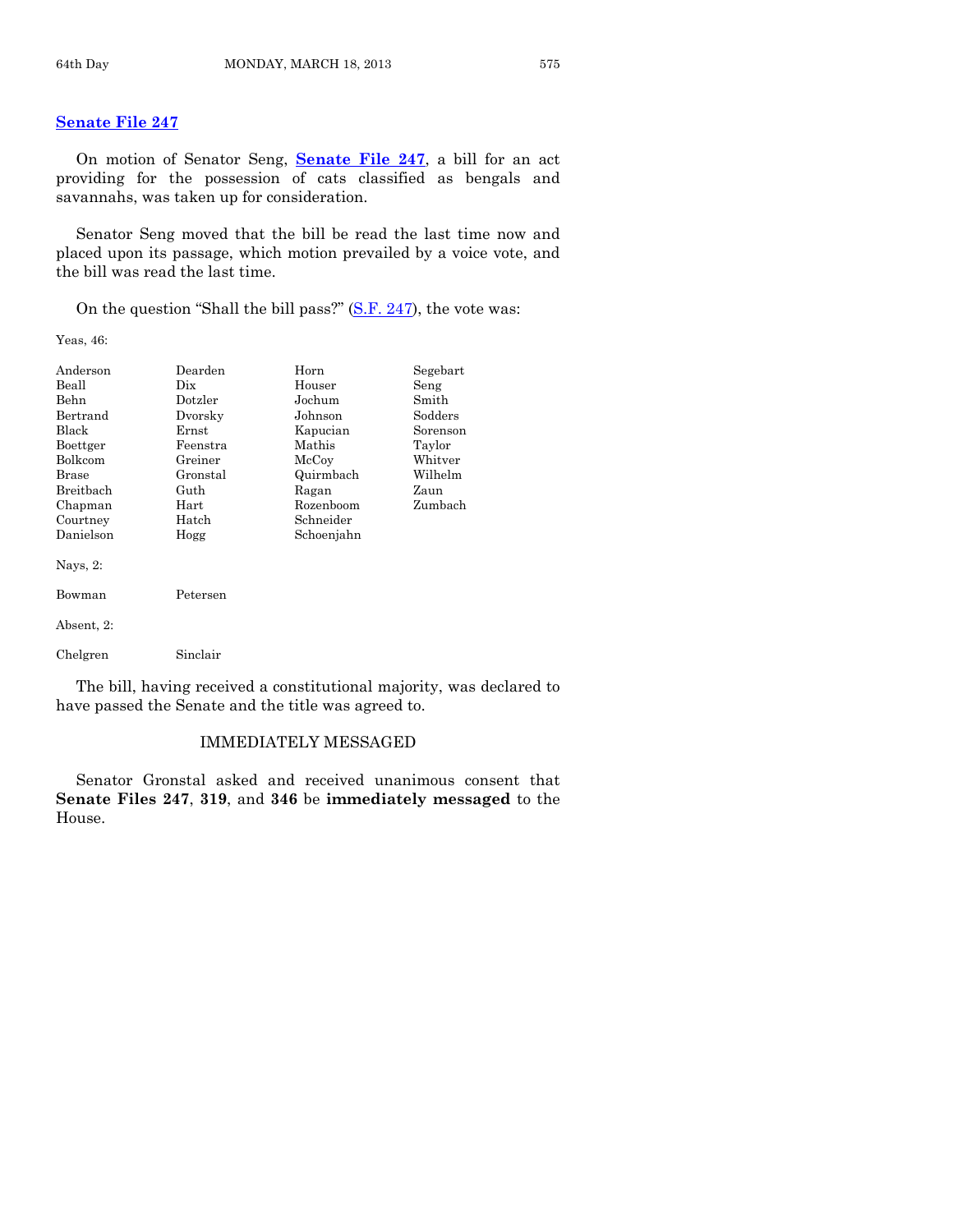# **[Senate File 247](http://coolice.legis.state.ia.us/Cool-ICE/default.asp?Category=billinfo&Service=Billbook&frame=1&GA=85&hbill=SF247)**

On motion of Senator Seng, **[Senate File 247](http://coolice.legis.state.ia.us/Cool-ICE/default.asp?Category=billinfo&Service=Billbook&frame=1&GA=85&hbill=SF247)**, a bill for an act providing for the possession of cats classified as bengals and savannahs, was taken up for consideration.

Senator Seng moved that the bill be read the last time now and placed upon its passage, which motion prevailed by a voice vote, and the bill was read the last time.

On the question "Shall the bill pass?" [\(S.F. 247\)](http://coolice.legis.state.ia.us/Cool-ICE/default.asp?Category=billinfo&Service=Billbook&frame=1&GA=85&hbill=SF247), the vote was:

Yeas, 46:

| Anderson    | Dearden    | Horn       | Segebart |
|-------------|------------|------------|----------|
| Beall       | Dix.       | Houser     | Seng     |
| Behn        | Dotzler    | Jochum     | Smith    |
| Bertrand    | Dvorsky    | Johnson    | Sodders  |
| Black       | Ernst      | Kapucian   | Sorenson |
| Boettger    | Feenstra   | Mathis     | Taylor   |
| Bolkcom     | Greiner    | McCoy      | Whitver  |
| Brase       | Gronstal   | Quirmbach  | Wilhelm  |
| Breitbach   | Guth       | Ragan      | Zaun     |
| Chapman     | $\rm Hart$ | Rozenboom  | Zumbach  |
| Courtney    | Hatch      | Schneider  |          |
| Danielson   | Hogg       | Schoenjahn |          |
| Navs, $2$ : |            |            |          |
| Bowman      | Petersen   |            |          |
| Absent, 2:  |            |            |          |
| Chelgren    | Sinclair   |            |          |

The bill, having received a constitutional majority, was declared to have passed the Senate and the title was agreed to.

#### IMMEDIATELY MESSAGED

Senator Gronstal asked and received unanimous consent that **Senate Files 247**, **319**, and **346** be **immediately messaged** to the House.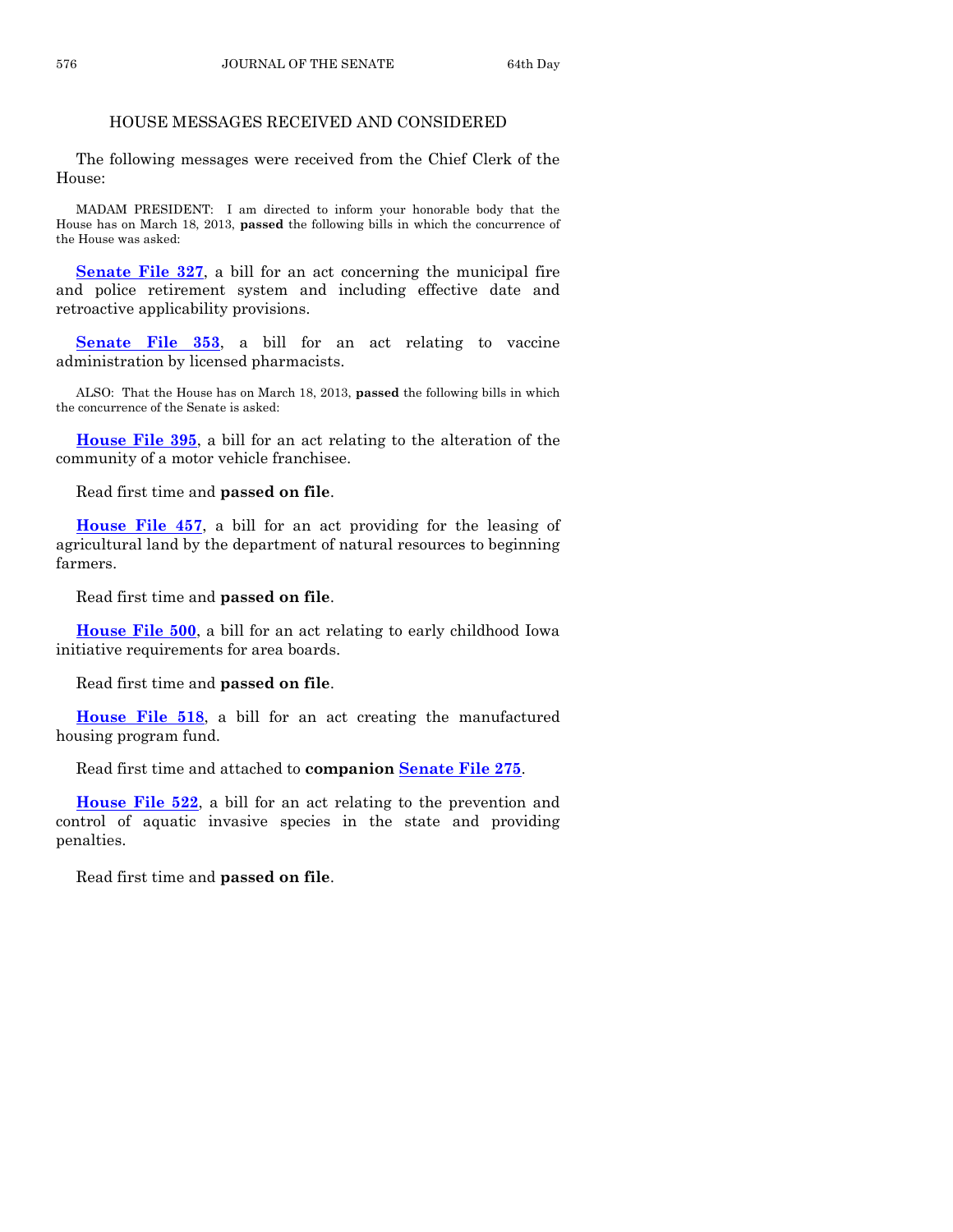# HOUSE MESSAGES RECEIVED AND CONSIDERED

The following messages were received from the Chief Clerk of the House:

MADAM PRESIDENT: I am directed to inform your honorable body that the House has on March 18, 2013, **passed** the following bills in which the concurrence of the House was asked:

**[Senate File 327](http://coolice.legis.state.ia.us/Cool-ICE/default.asp?Category=billinfo&Service=Billbook&frame=1&GA=85&hbill=SF327)**, a bill for an act concerning the municipal fire and police retirement system and including effective date and retroactive applicability provisions.

**[Senate File 353](http://coolice.legis.state.ia.us/Cool-ICE/default.asp?Category=billinfo&Service=Billbook&frame=1&GA=85&hbill=SF353)**, a bill for an act relating to vaccine administration by licensed pharmacists.

ALSO: That the House has on March 18, 2013, **passed** the following bills in which the concurrence of the Senate is asked:

**[House File 395](http://coolice.legis.state.ia.us/Cool-ICE/default.asp?Category=billinfo&Service=Billbook&frame=1&GA=85&hbill=HF395)**, a bill for an act relating to the alteration of the community of a motor vehicle franchisee.

Read first time and **passed on file**.

**[House File 457](http://coolice.legis.state.ia.us/Cool-ICE/default.asp?Category=billinfo&Service=Billbook&frame=1&GA=85&hbill=HF457)**, a bill for an act providing for the leasing of agricultural land by the department of natural resources to beginning farmers.

Read first time and **passed on file**.

**[House File 500](http://coolice.legis.state.ia.us/Cool-ICE/default.asp?Category=billinfo&Service=Billbook&frame=1&GA=85&hbill=HF500)**, a bill for an act relating to early childhood Iowa initiative requirements for area boards.

Read first time and **passed on file**.

**[House File 518](http://coolice.legis.state.ia.us/Cool-ICE/default.asp?Category=billinfo&Service=Billbook&frame=1&GA=85&hbill=HF518)**, a bill for an act creating the manufactured housing program fund.

Read first time and attached to **companion [Senate File 275](http://coolice.legis.state.ia.us/Cool-ICE/default.asp?Category=billinfo&Service=Billbook&frame=1&GA=85&hbill=SF275)**.

**[House File 522](http://coolice.legis.state.ia.us/Cool-ICE/default.asp?Category=billinfo&Service=Billbook&frame=1&GA=85&hbill=HF522)**, a bill for an act relating to the prevention and control of aquatic invasive species in the state and providing penalties.

Read first time and **passed on file**.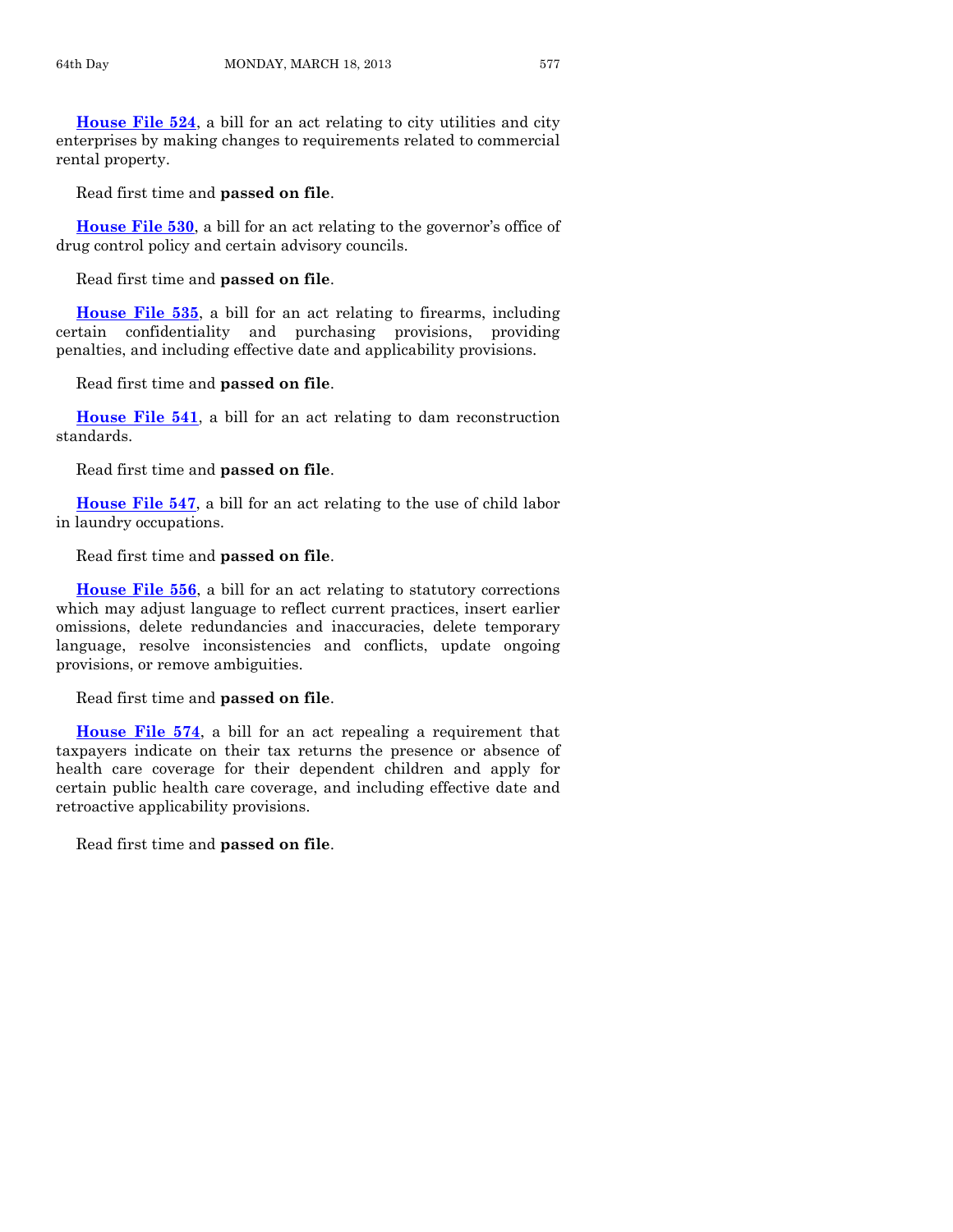**[House File 524](http://coolice.legis.state.ia.us/Cool-ICE/default.asp?Category=billinfo&Service=Billbook&frame=1&GA=85&hbill=HF524)**, a bill for an act relating to city utilities and city enterprises by making changes to requirements related to commercial rental property.

Read first time and **passed on file**.

**[House File 530](http://coolice.legis.state.ia.us/Cool-ICE/default.asp?Category=billinfo&Service=Billbook&frame=1&GA=85&hbill=HF530)**, a bill for an act relating to the governor's office of drug control policy and certain advisory councils.

Read first time and **passed on file**.

**[House File 535](http://coolice.legis.state.ia.us/Cool-ICE/default.asp?Category=billinfo&Service=Billbook&frame=1&GA=85&hbill=HF535)**, a bill for an act relating to firearms, including certain confidentiality and purchasing provisions, providing penalties, and including effective date and applicability provisions.

Read first time and **passed on file**.

**[House File 541](http://coolice.legis.state.ia.us/Cool-ICE/default.asp?Category=billinfo&Service=Billbook&frame=1&GA=85&hbill=HF541)**, a bill for an act relating to dam reconstruction standards.

Read first time and **passed on file**.

**[House File 547](http://coolice.legis.state.ia.us/Cool-ICE/default.asp?Category=billinfo&Service=Billbook&frame=1&GA=85&hbill=HF547)**, a bill for an act relating to the use of child labor in laundry occupations.

# Read first time and **passed on file**.

**[House File 556](http://coolice.legis.state.ia.us/Cool-ICE/default.asp?Category=billinfo&Service=Billbook&frame=1&GA=85&hbill=HF556)**, a bill for an act relating to statutory corrections which may adjust language to reflect current practices, insert earlier omissions, delete redundancies and inaccuracies, delete temporary language, resolve inconsistencies and conflicts, update ongoing provisions, or remove ambiguities.

#### Read first time and **passed on file**.

**[House File 574](http://coolice.legis.state.ia.us/Cool-ICE/default.asp?Category=billinfo&Service=Billbook&frame=1&GA=85&hbill=HF574)**, a bill for an act repealing a requirement that taxpayers indicate on their tax returns the presence or absence of health care coverage for their dependent children and apply for certain public health care coverage, and including effective date and retroactive applicability provisions.

Read first time and **passed on file**.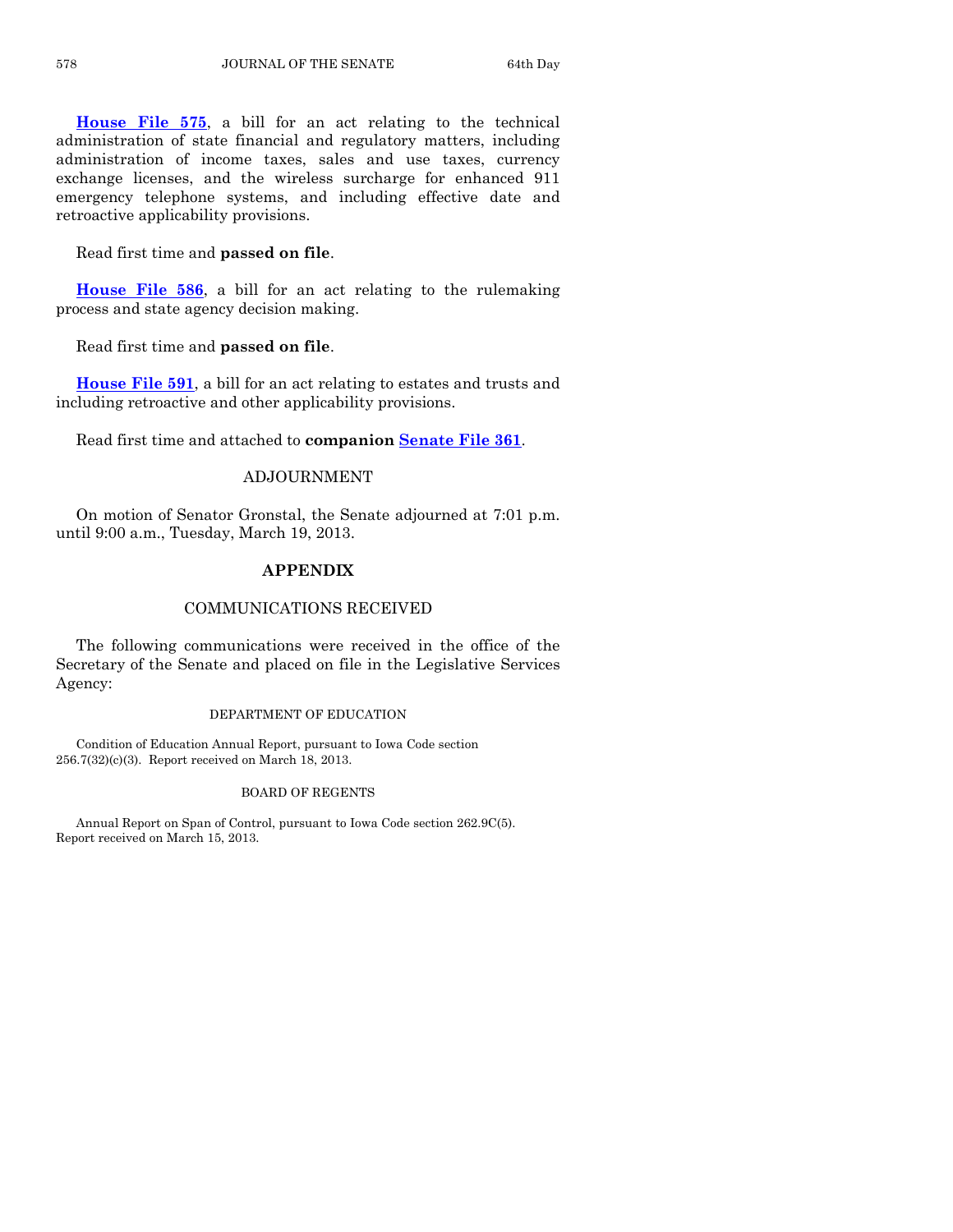**[House File 575](http://coolice.legis.state.ia.us/Cool-ICE/default.asp?Category=billinfo&Service=Billbook&frame=1&GA=85&hbill=HF575)**, a bill for an act relating to the technical administration of state financial and regulatory matters, including administration of income taxes, sales and use taxes, currency exchange licenses, and the wireless surcharge for enhanced 911 emergency telephone systems, and including effective date and retroactive applicability provisions.

Read first time and **passed on file**.

**[House File 586](http://coolice.legis.state.ia.us/Cool-ICE/default.asp?Category=billinfo&Service=Billbook&frame=1&GA=85&hbill=HF586)**, a bill for an act relating to the rulemaking process and state agency decision making.

Read first time and **passed on file**.

**[House File 591](http://coolice.legis.state.ia.us/Cool-ICE/default.asp?Category=billinfo&Service=Billbook&frame=1&GA=85&hbill=HF591)**, a bill for an act relating to estates and trusts and including retroactive and other applicability provisions.

Read first time and attached to **companion [Senate File 361](http://coolice.legis.state.ia.us/Cool-ICE/default.asp?Category=billinfo&Service=Billbook&frame=1&GA=85&hbill=SF361)**.

# ADJOURNMENT

On motion of Senator Gronstal, the Senate adjourned at 7:01 p.m. until 9:00 a.m., Tuesday, March 19, 2013.

# **APPENDIX**

#### COMMUNICATIONS RECEIVED

The following communications were received in the office of the Secretary of the Senate and placed on file in the Legislative Services Agency:

#### DEPARTMENT OF EDUCATION

Condition of Education Annual Report, pursuant to Iowa Code section 256.7(32)(c)(3). Report received on March 18, 2013.

#### BOARD OF REGENTS

Annual Report on Span of Control, pursuant to Iowa Code section 262.9C(5). Report received on March 15, 2013.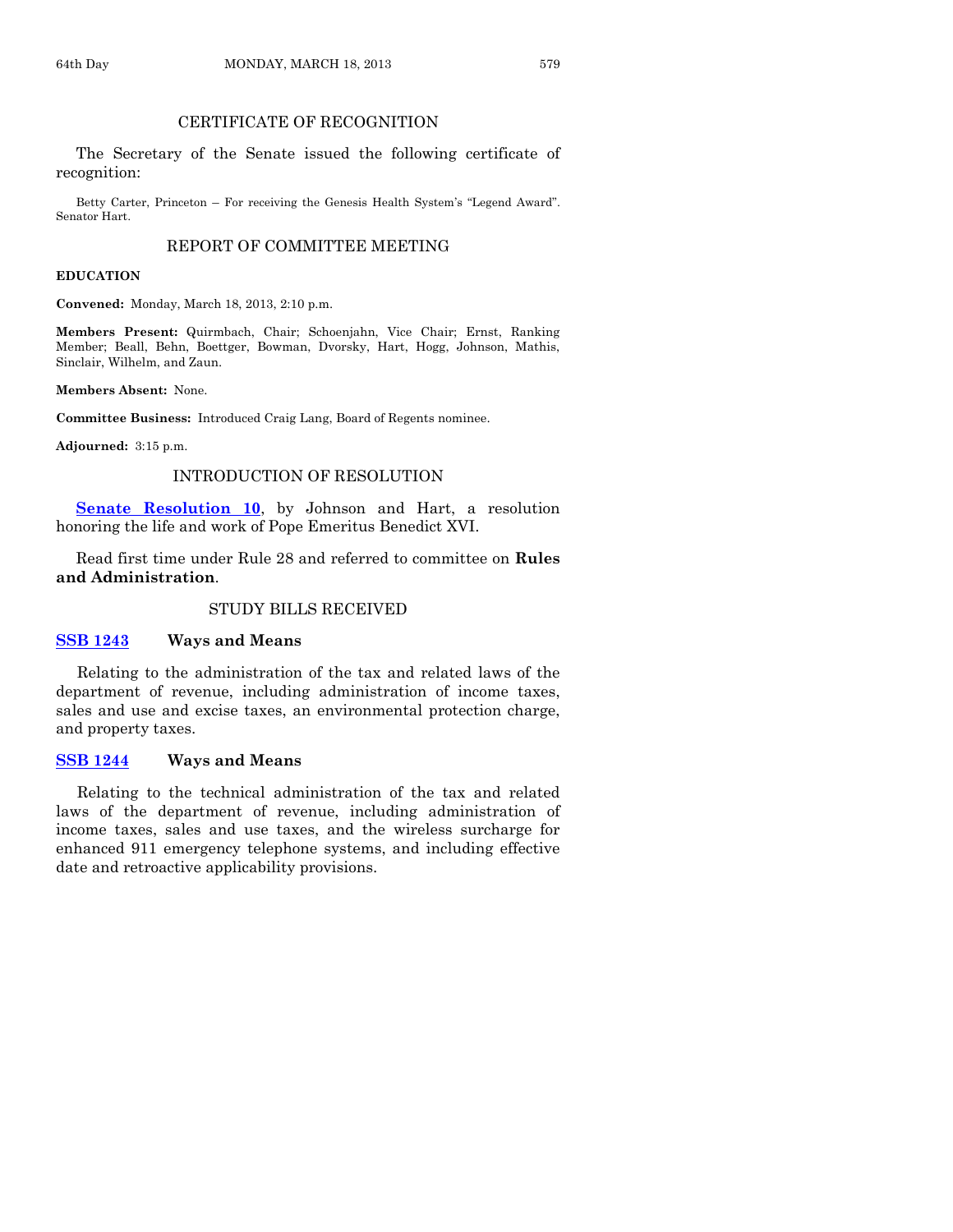# CERTIFICATE OF RECOGNITION

The Secretary of the Senate issued the following certificate of recognition:

Betty Carter, Princeton – For receiving the Genesis Health System's "Legend Award". Senator Hart.

#### REPORT OF COMMITTEE MEETING

#### **EDUCATION**

**Convened:** Monday, March 18, 2013, 2:10 p.m.

**Members Present:** Quirmbach, Chair; Schoenjahn, Vice Chair; Ernst, Ranking Member; Beall, Behn, Boettger, Bowman, Dvorsky, Hart, Hogg, Johnson, Mathis, Sinclair, Wilhelm, and Zaun.

**Members Absent:** None.

**Committee Business:** Introduced Craig Lang, Board of Regents nominee.

**Adjourned:** 3:15 p.m.

#### INTRODUCTION OF RESOLUTION

**[Senate Resolution 10](http://coolice.legis.state.ia.us/Cool-ICE/default.asp?Category=billinfo&Service=Billbook&frame=1&GA=85&hbill=SR10)**, by Johnson and Hart, a resolution honoring the life and work of Pope Emeritus Benedict XVI.

Read first time under Rule 28 and referred to committee on **Rules and Administration**.

#### STUDY BILLS RECEIVED

#### **[SSB 1243](http://coolice.legis.state.ia.us/Cool-ICE/default.asp?Category=billinfo&Service=Billbook&frame=1&GA=85&hbill=SSB1243) Ways and Means**

Relating to the administration of the tax and related laws of the department of revenue, including administration of income taxes, sales and use and excise taxes, an environmental protection charge, and property taxes.

#### **[SSB 1244](http://coolice.legis.state.ia.us/Cool-ICE/default.asp?Category=billinfo&Service=Billbook&frame=1&GA=85&hbill=SSB1244) Ways and Means**

Relating to the technical administration of the tax and related laws of the department of revenue, including administration of income taxes, sales and use taxes, and the wireless surcharge for enhanced 911 emergency telephone systems, and including effective date and retroactive applicability provisions.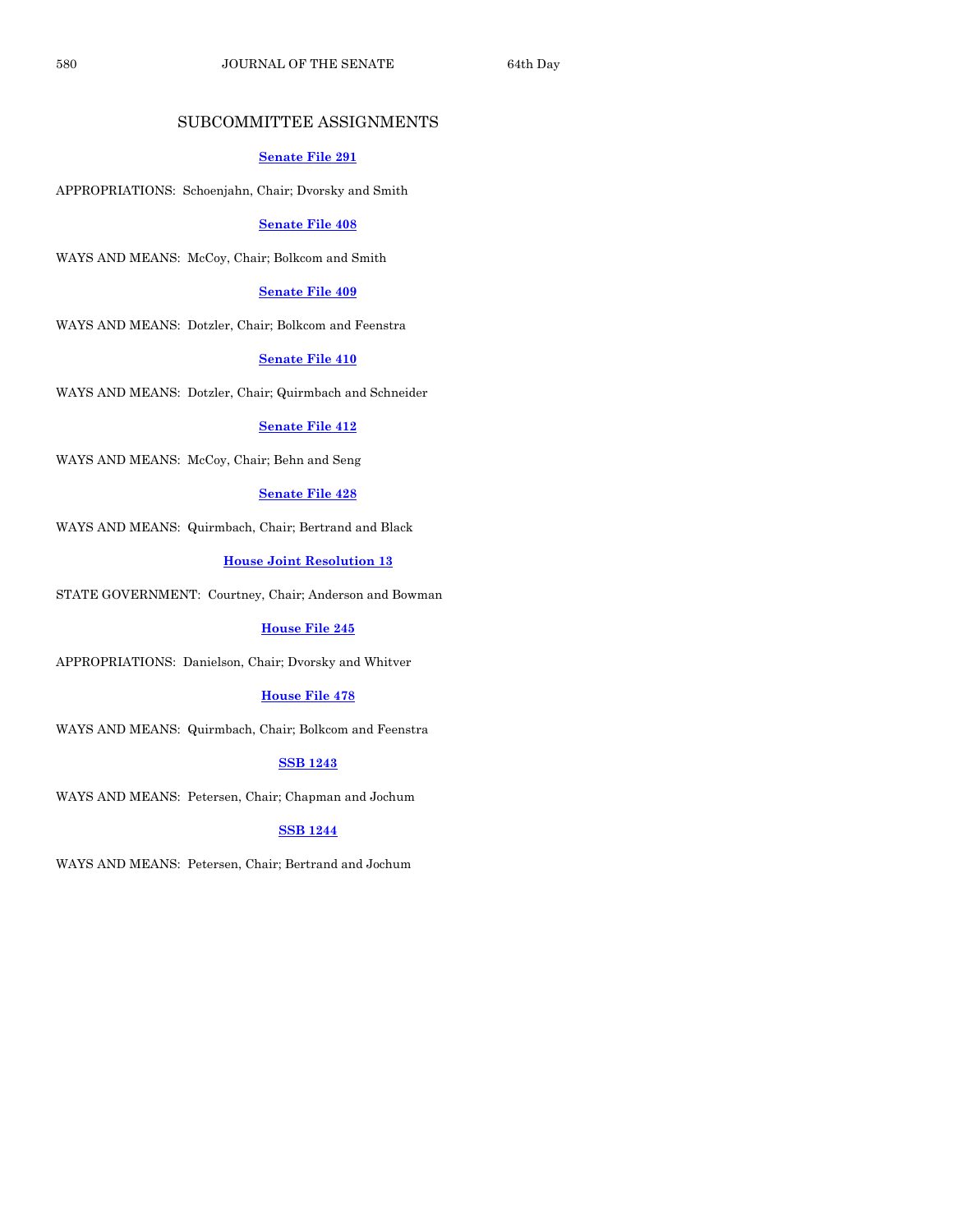# SUBCOMMITTEE ASSIGNMENTS

#### **[Senate File 291](http://coolice.legis.state.ia.us/Cool-ICE/default.asp?Category=billinfo&Service=Billbook&frame=1&GA=85&hbill=SF291)**

APPROPRIATIONS: Schoenjahn, Chair; Dvorsky and Smith

#### **[Senate File 408](http://coolice.legis.state.ia.us/Cool-ICE/default.asp?Category=billinfo&Service=Billbook&frame=1&GA=85&hbill=SF408)**

WAYS AND MEANS: McCoy, Chair; Bolkcom and Smith

#### **[Senate File 409](http://coolice.legis.state.ia.us/Cool-ICE/default.asp?Category=billinfo&Service=Billbook&frame=1&GA=85&hbill=SF409)**

WAYS AND MEANS: Dotzler, Chair; Bolkcom and Feenstra

# **[Senate File 410](http://coolice.legis.state.ia.us/Cool-ICE/default.asp?Category=billinfo&Service=Billbook&frame=1&GA=85&hbill=SF410)**

WAYS AND MEANS: Dotzler, Chair; Quirmbach and Schneider

#### **[Senate File 412](http://coolice.legis.state.ia.us/Cool-ICE/default.asp?Category=billinfo&Service=Billbook&frame=1&GA=85&hbill=SF412)**

WAYS AND MEANS: McCoy, Chair; Behn and Seng

#### **[Senate File 428](http://coolice.legis.state.ia.us/Cool-ICE/default.asp?Category=billinfo&Service=Billbook&frame=1&GA=85&hbill=SF428)**

WAYS AND MEANS: Quirmbach, Chair; Bertrand and Black

#### **[House Joint Resolution](http://coolice.legis.state.ia.us/Cool-ICE/default.asp?Category=billinfo&Service=Billbook&frame=1&GA=85&hbill=HJR13) 13**

STATE GOVERNMENT: Courtney, Chair; Anderson and Bowman

#### **[House File 245](http://coolice.legis.state.ia.us/Cool-ICE/default.asp?Category=billinfo&Service=Billbook&frame=1&GA=85&hbill=HF245)**

APPROPRIATIONS: Danielson, Chair; Dvorsky and Whitver

#### **[House File 478](http://coolice.legis.state.ia.us/Cool-ICE/default.asp?Category=billinfo&Service=Billbook&frame=1&GA=85&hbill=HF478)**

WAYS AND MEANS: Quirmbach, Chair; Bolkcom and Feenstra

#### **[SSB 1243](http://coolice.legis.state.ia.us/Cool-ICE/default.asp?Category=billinfo&Service=Billbook&frame=1&GA=85&hbill=SSB1243)**

WAYS AND MEANS: Petersen, Chair; Chapman and Jochum

# **[SSB 1244](http://coolice.legis.state.ia.us/Cool-ICE/default.asp?Category=billinfo&Service=Billbook&frame=1&GA=85&hbill=SSB1244)**

WAYS AND MEANS: Petersen, Chair; Bertrand and Jochum